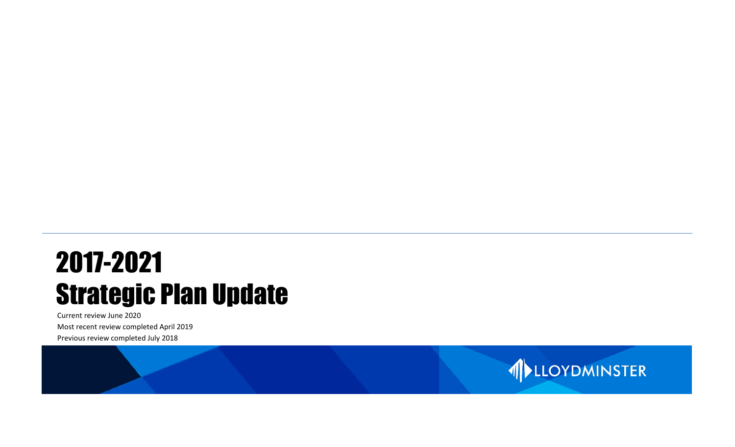# 2017-2021 Strategic Plan Update

Current review June 2020 Most recent review completed April 2019 Previous review completed July 2018

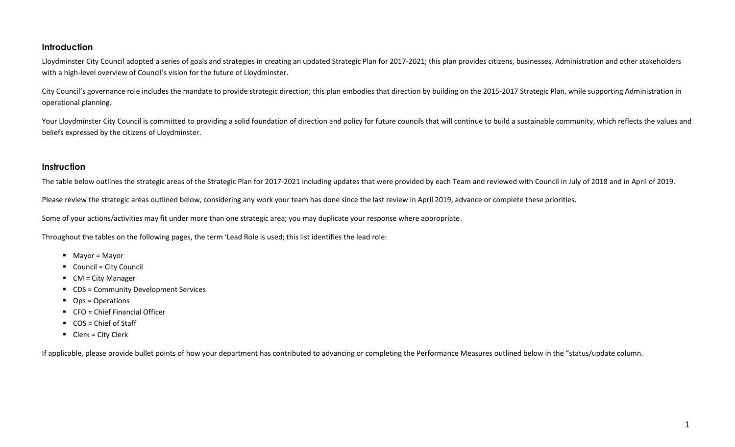#### **Introduction**

Lloydminster City Council adopted a series of goals and strategies in creating an updated Strategic Plan for 2017-2021; this plan provides citizens, businesses, Administration and other stakeholders with a high-level overview of Council's vision for the future of Lloydminster.

City Council's governance role includes the mandate to provide strategic direction; this plan embodies that direction by building on the 2015-2017 Strategic Plan, while supporting Administration in operational planning.

Your Lloydminster City Council is committed to providing a solid foundation of direction and policy for future councils that will continue to build a sustainable community, which reflects the values and beliefs expressed by the citizens of Lloydminster.

#### **Instruction**

The table below outlines the strategic areas of the Strategic Plan for 2017-2021 including updates that were provided by each Team and reviewed with Council in July of 2018 and in April of 2019.

Please review the strategic areas outlined below, considering any work your team has done since the last review in April 2019, advance or complete these priorities.

Some of your actions/activities may fit under more than one strategic area; you may duplicate your response where appropriate.

Throughout the tables on the following pages, the term 'Lead Role is used; this list identifies the lead role:

- Mayor = Mayor
- Council = City Council
- CM = City Manager
- CDS = Community Development Services
- Ops = Operations
- CFO = Chief Financial Officer
- COS = Chief of Staff
- Clerk = City Clerk

If applicable, please provide bullet points of how your department has contributed to advancing or completing the Performance Measures outlined below in the "status/update column.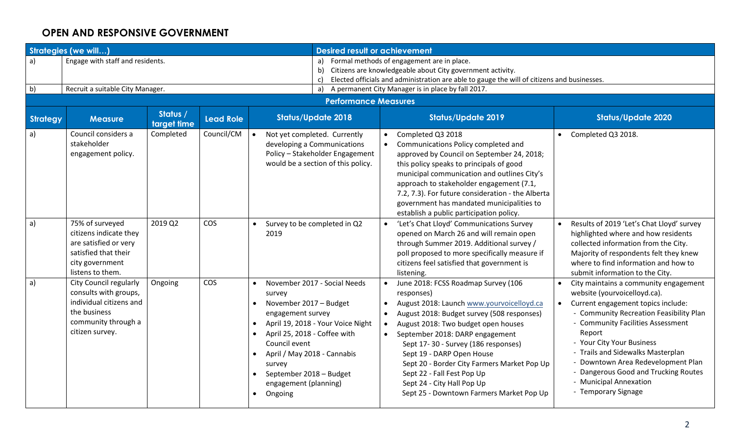#### **OPEN AND RESPONSIVE GOVERNMENT**

|              | <b>Strategies (we will)</b>                                                                                                          |                         |                  | <b>Desired result or achievement</b>                                                                                                                                                                                                                                                                                                    |                                                                                                                                                                                                                                                                                                                                                                                                                                                   |                                                                                                                                                                                                                                                                                                                                                                                                                      |  |  |  |  |  |
|--------------|--------------------------------------------------------------------------------------------------------------------------------------|-------------------------|------------------|-----------------------------------------------------------------------------------------------------------------------------------------------------------------------------------------------------------------------------------------------------------------------------------------------------------------------------------------|---------------------------------------------------------------------------------------------------------------------------------------------------------------------------------------------------------------------------------------------------------------------------------------------------------------------------------------------------------------------------------------------------------------------------------------------------|----------------------------------------------------------------------------------------------------------------------------------------------------------------------------------------------------------------------------------------------------------------------------------------------------------------------------------------------------------------------------------------------------------------------|--|--|--|--|--|
| a)           | Engage with staff and residents.                                                                                                     |                         |                  | c)                                                                                                                                                                                                                                                                                                                                      | a) Formal methods of engagement are in place.<br>b) Citizens are knowledgeable about City government activity.<br>Elected officials and administration are able to gauge the will of citizens and businesses.                                                                                                                                                                                                                                     |                                                                                                                                                                                                                                                                                                                                                                                                                      |  |  |  |  |  |
| b)           | Recruit a suitable City Manager.                                                                                                     |                         |                  |                                                                                                                                                                                                                                                                                                                                         | a) A permanent City Manager is in place by fall 2017.                                                                                                                                                                                                                                                                                                                                                                                             |                                                                                                                                                                                                                                                                                                                                                                                                                      |  |  |  |  |  |
|              |                                                                                                                                      |                         |                  | <b>Performance Measures</b>                                                                                                                                                                                                                                                                                                             |                                                                                                                                                                                                                                                                                                                                                                                                                                                   |                                                                                                                                                                                                                                                                                                                                                                                                                      |  |  |  |  |  |
| Strategy     | <b>Measure</b>                                                                                                                       | Status /<br>target time | <b>Lead Role</b> | <b>Status/Update 2018</b>                                                                                                                                                                                                                                                                                                               | <b>Status/Update 2019</b>                                                                                                                                                                                                                                                                                                                                                                                                                         | <b>Status/Update 2020</b>                                                                                                                                                                                                                                                                                                                                                                                            |  |  |  |  |  |
| a)           | Council considers a<br>stakeholder<br>engagement policy.                                                                             | Completed               | Council/CM       | Not yet completed. Currently<br>developing a Communications<br>Policy - Stakeholder Engagement<br>would be a section of this policy.                                                                                                                                                                                                    | Completed Q3 2018<br>Communications Policy completed and<br>approved by Council on September 24, 2018;<br>this policy speaks to principals of good<br>municipal communication and outlines City's<br>approach to stakeholder engagement (7.1,<br>7.2, 7.3). For future consideration - the Alberta<br>government has mandated municipalities to<br>establish a public participation policy.                                                       | Completed Q3 2018.                                                                                                                                                                                                                                                                                                                                                                                                   |  |  |  |  |  |
| $\mathsf{a}$ | 75% of surveyed<br>citizens indicate they<br>are satisfied or very<br>satisfied that their<br>city government<br>listens to them.    | 2019 Q2                 | COS              | Survey to be completed in Q2<br>2019                                                                                                                                                                                                                                                                                                    | 'Let's Chat Lloyd' Communications Survey<br>opened on March 26 and will remain open<br>through Summer 2019. Additional survey /<br>poll proposed to more specifically measure if<br>citizens feel satisfied that government is<br>listening.                                                                                                                                                                                                      | Results of 2019 'Let's Chat Lloyd' survey<br>highlighted where and how residents<br>collected information from the City.<br>Majority of respondents felt they knew<br>where to find information and how to<br>submit information to the City.                                                                                                                                                                        |  |  |  |  |  |
| a)           | City Council regularly<br>consults with groups,<br>individual citizens and<br>the business<br>community through a<br>citizen survey. | Ongoing                 | <b>COS</b>       | November 2017 - Social Needs<br>survey<br>November 2017 - Budget<br>$\bullet$<br>engagement survey<br>April 19, 2018 - Your Voice Night<br>$\bullet$<br>April 25, 2018 - Coffee with<br>$\bullet$<br>Council event<br>April / May 2018 - Cannabis<br>survey<br>September 2018 - Budget<br>engagement (planning)<br>Ongoing<br>$\bullet$ | June 2018: FCSS Roadmap Survey (106<br>responses)<br>August 2018: Launch www.yourvoicelloyd.ca<br>August 2018: Budget survey (508 responses)<br>August 2018: Two budget open houses<br>September 2018: DARP engagement<br>Sept 17-30 - Survey (186 responses)<br>Sept 19 - DARP Open House<br>Sept 20 - Border City Farmers Market Pop Up<br>Sept 22 - Fall Fest Pop Up<br>Sept 24 - City Hall Pop Up<br>Sept 25 - Downtown Farmers Market Pop Up | City maintains a community engagement<br>website (yourvoicelloyd.ca).<br>Current engagement topics include:<br>$\bullet$<br>- Community Recreation Feasibility Plan<br><b>Community Facilities Assessment</b><br>Report<br>- Your City Your Business<br>- Trails and Sidewalks Masterplan<br>Downtown Area Redevelopment Plan<br>Dangerous Good and Trucking Routes<br>- Municipal Annexation<br>- Temporary Signage |  |  |  |  |  |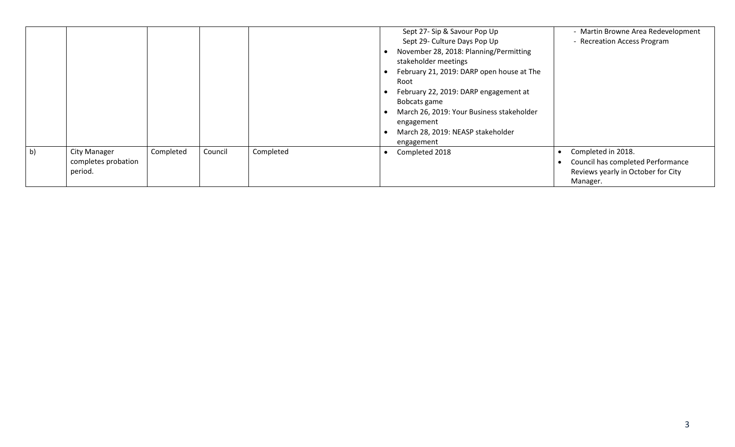|    |                                                       |           |         |           | Sept 27- Sip & Savour Pop Up<br>Sept 29- Culture Days Pop Up<br>November 28, 2018: Planning/Permitting<br>stakeholder meetings<br>February 21, 2019: DARP open house at The<br>Root<br>February 22, 2019: DARP engagement at<br>Bobcats game<br>March 26, 2019: Your Business stakeholder<br>engagement<br>March 28, 2019: NEASP stakeholder<br>engagement | - Martin Browne Area Redevelopment<br>- Recreation Access Program                                         |
|----|-------------------------------------------------------|-----------|---------|-----------|------------------------------------------------------------------------------------------------------------------------------------------------------------------------------------------------------------------------------------------------------------------------------------------------------------------------------------------------------------|-----------------------------------------------------------------------------------------------------------|
| b) | <b>City Manager</b><br>completes probation<br>period. | Completed | Council | Completed | Completed 2018                                                                                                                                                                                                                                                                                                                                             | Completed in 2018.<br>Council has completed Performance<br>Reviews yearly in October for City<br>Manager. |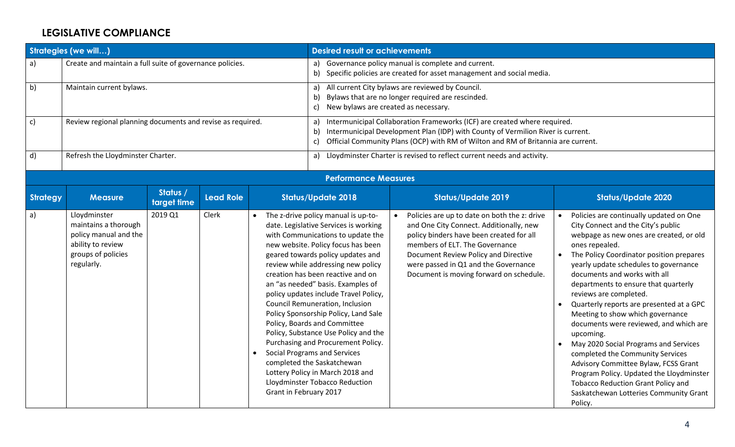# **LEGISLATIVE COMPLIANCE**

|              | Strategies (we will)                                                                                                   |                         |                  |                        | <b>Desired result or achievements</b>                                                                                                                                                                                                                                                                                                                                                                                                                                                                                                                                                                                                                                                       |                                                                                                                                                                                                                                                                                                  |                                                                                                                                                                                                                                                                                                                                                                                                                                                                                                                                                                                                                                                                                                                                                            |  |  |  |
|--------------|------------------------------------------------------------------------------------------------------------------------|-------------------------|------------------|------------------------|---------------------------------------------------------------------------------------------------------------------------------------------------------------------------------------------------------------------------------------------------------------------------------------------------------------------------------------------------------------------------------------------------------------------------------------------------------------------------------------------------------------------------------------------------------------------------------------------------------------------------------------------------------------------------------------------|--------------------------------------------------------------------------------------------------------------------------------------------------------------------------------------------------------------------------------------------------------------------------------------------------|------------------------------------------------------------------------------------------------------------------------------------------------------------------------------------------------------------------------------------------------------------------------------------------------------------------------------------------------------------------------------------------------------------------------------------------------------------------------------------------------------------------------------------------------------------------------------------------------------------------------------------------------------------------------------------------------------------------------------------------------------------|--|--|--|
| $\mathsf{a}$ | Create and maintain a full suite of governance policies.                                                               |                         |                  |                        | a)<br>b)                                                                                                                                                                                                                                                                                                                                                                                                                                                                                                                                                                                                                                                                                    | Governance policy manual is complete and current.<br>Specific policies are created for asset management and social media.                                                                                                                                                                        |                                                                                                                                                                                                                                                                                                                                                                                                                                                                                                                                                                                                                                                                                                                                                            |  |  |  |
| b)           | Maintain current bylaws.                                                                                               |                         |                  |                        | All current City bylaws are reviewed by Council.<br>a)<br>Bylaws that are no longer required are rescinded.<br>b)<br>New bylaws are created as necessary.<br>c)                                                                                                                                                                                                                                                                                                                                                                                                                                                                                                                             |                                                                                                                                                                                                                                                                                                  |                                                                                                                                                                                                                                                                                                                                                                                                                                                                                                                                                                                                                                                                                                                                                            |  |  |  |
| $\mathsf{c}$ | Review regional planning documents and revise as required.                                                             |                         |                  |                        | a)<br>b)<br>$\mathsf{c}$                                                                                                                                                                                                                                                                                                                                                                                                                                                                                                                                                                                                                                                                    | Intermunicipal Collaboration Frameworks (ICF) are created where required.<br>Intermunicipal Development Plan (IDP) with County of Vermilion River is current.<br>Official Community Plans (OCP) with RM of Wilton and RM of Britannia are current.                                               |                                                                                                                                                                                                                                                                                                                                                                                                                                                                                                                                                                                                                                                                                                                                                            |  |  |  |
| $\mathsf{d}$ | Refresh the Lloydminster Charter.                                                                                      |                         |                  |                        |                                                                                                                                                                                                                                                                                                                                                                                                                                                                                                                                                                                                                                                                                             | a) Lloydminster Charter is revised to reflect current needs and activity.                                                                                                                                                                                                                        |                                                                                                                                                                                                                                                                                                                                                                                                                                                                                                                                                                                                                                                                                                                                                            |  |  |  |
|              |                                                                                                                        |                         |                  |                        | <b>Performance Measures</b>                                                                                                                                                                                                                                                                                                                                                                                                                                                                                                                                                                                                                                                                 |                                                                                                                                                                                                                                                                                                  |                                                                                                                                                                                                                                                                                                                                                                                                                                                                                                                                                                                                                                                                                                                                                            |  |  |  |
| Strategy     | <b>Measure</b>                                                                                                         | Status /<br>target time | <b>Lead Role</b> |                        | <b>Status/Update 2018</b>                                                                                                                                                                                                                                                                                                                                                                                                                                                                                                                                                                                                                                                                   | <b>Status/Update 2019</b>                                                                                                                                                                                                                                                                        | <b>Status/Update 2020</b>                                                                                                                                                                                                                                                                                                                                                                                                                                                                                                                                                                                                                                                                                                                                  |  |  |  |
| a)           | Lloydminster<br>maintains a thorough<br>policy manual and the<br>ability to review<br>groups of policies<br>regularly. | 2019 Q1                 | Clerk            | Grant in February 2017 | • The z-drive policy manual is up-to-<br>date. Legislative Services is working<br>with Communications to update the<br>new website. Policy focus has been<br>geared towards policy updates and<br>review while addressing new policy<br>creation has been reactive and on<br>an "as needed" basis. Examples of<br>policy updates include Travel Policy,<br>Council Remuneration, Inclusion<br>Policy Sponsorship Policy, Land Sale<br>Policy, Boards and Committee<br>Policy, Substance Use Policy and the<br>Purchasing and Procurement Policy.<br><b>Social Programs and Services</b><br>completed the Saskatchewan<br>Lottery Policy in March 2018 and<br>Lloydminster Tobacco Reduction | Policies are up to date on both the z: drive<br>and One City Connect. Additionally, new<br>policy binders have been created for all<br>members of ELT. The Governance<br>Document Review Policy and Directive<br>were passed in Q1 and the Governance<br>Document is moving forward on schedule. | • Policies are continually updated on One<br>City Connect and the City's public<br>webpage as new ones are created, or old<br>ones repealed.<br>The Policy Coordinator position prepares<br>$\bullet$<br>yearly update schedules to governance<br>documents and works with all<br>departments to ensure that quarterly<br>reviews are completed.<br>Quarterly reports are presented at a GPC<br>Meeting to show which governance<br>documents were reviewed, and which are<br>upcoming.<br>May 2020 Social Programs and Services<br>completed the Community Services<br>Advisory Committee Bylaw, FCSS Grant<br>Program Policy. Updated the Lloydminster<br><b>Tobacco Reduction Grant Policy and</b><br>Saskatchewan Lotteries Community Grant<br>Policy. |  |  |  |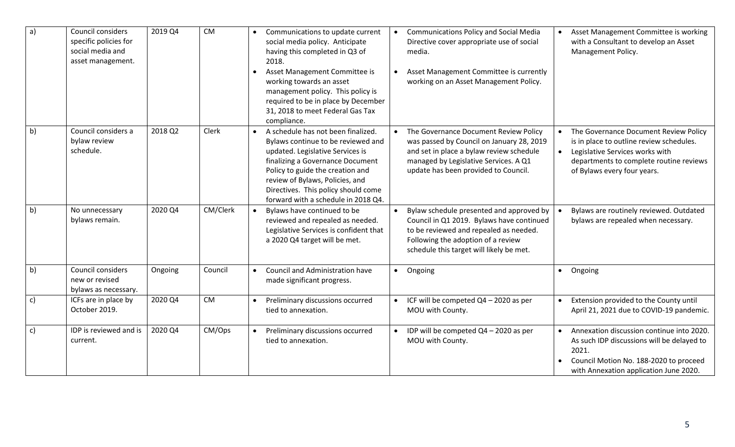| a              | Council considers<br>specific policies for<br>social media and<br>asset management. | 2019 Q4 | <b>CM</b> | Communications to update current<br>social media policy. Anticipate<br>having this completed in Q3 of<br>2018.<br>Asset Management Committee is<br>working towards an asset<br>management policy. This policy is<br>required to be in place by December<br>31, 2018 to meet Federal Gas Tax<br>compliance. | <b>Communications Policy and Social Media</b><br>Asset Management Committee is working<br>$\bullet$<br>Directive cover appropriate use of social<br>with a Consultant to develop an Asset<br>Management Policy.<br>media.<br>Asset Management Committee is currently<br>$\bullet$<br>working on an Asset Management Policy.                                                                                                    |
|----------------|-------------------------------------------------------------------------------------|---------|-----------|------------------------------------------------------------------------------------------------------------------------------------------------------------------------------------------------------------------------------------------------------------------------------------------------------------|--------------------------------------------------------------------------------------------------------------------------------------------------------------------------------------------------------------------------------------------------------------------------------------------------------------------------------------------------------------------------------------------------------------------------------|
| b)             | Council considers a<br>bylaw review<br>schedule.                                    | 2018 Q2 | Clerk     | A schedule has not been finalized.<br>Bylaws continue to be reviewed and<br>updated. Legislative Services is<br>finalizing a Governance Document<br>Policy to guide the creation and<br>review of Bylaws, Policies, and<br>Directives. This policy should come<br>forward with a schedule in 2018 Q4.      | The Governance Document Review Policy<br>The Governance Document Review Policy<br>$\bullet$<br>was passed by Council on January 28, 2019<br>is in place to outline review schedules.<br>and set in place a bylaw review schedule<br>Legislative Services works with<br>managed by Legislative Services. A Q1<br>departments to complete routine reviews<br>update has been provided to Council.<br>of Bylaws every four years. |
| $\overline{b}$ | No unnecessary<br>bylaws remain.                                                    | 2020 Q4 | CM/Clerk  | Bylaws have continued to be<br>reviewed and repealed as needed.<br>Legislative Services is confident that<br>a 2020 Q4 target will be met.                                                                                                                                                                 | Bylaw schedule presented and approved by<br>Bylaws are routinely reviewed. Outdated<br>$\bullet$<br>Council in Q1 2019. Bylaws have continued<br>bylaws are repealed when necessary.<br>to be reviewed and repealed as needed.<br>Following the adoption of a review<br>schedule this target will likely be met.                                                                                                               |
| b)             | Council considers<br>new or revised<br>bylaws as necessary.                         | Ongoing | Council   | Council and Administration have<br>made significant progress.                                                                                                                                                                                                                                              | Ongoing<br>• Ongoing<br>$\bullet$                                                                                                                                                                                                                                                                                                                                                                                              |
| $\mathsf{c})$  | ICFs are in place by<br>October 2019.                                               | 2020 Q4 | <b>CM</b> | Preliminary discussions occurred<br>tied to annexation.                                                                                                                                                                                                                                                    | ICF will be competed Q4 - 2020 as per<br>Extension provided to the County until<br>MOU with County.<br>April 21, 2021 due to COVID-19 pandemic.                                                                                                                                                                                                                                                                                |
| $\mathsf{c}$   | IDP is reviewed and is<br>current.                                                  | 2020 Q4 | CM/Ops    | Preliminary discussions occurred<br>tied to annexation.                                                                                                                                                                                                                                                    | IDP will be competed Q4 - 2020 as per<br>Annexation discussion continue into 2020.<br>MOU with County.<br>As such IDP discussions will be delayed to<br>2021.<br>Council Motion No. 188-2020 to proceed<br>with Annexation application June 2020.                                                                                                                                                                              |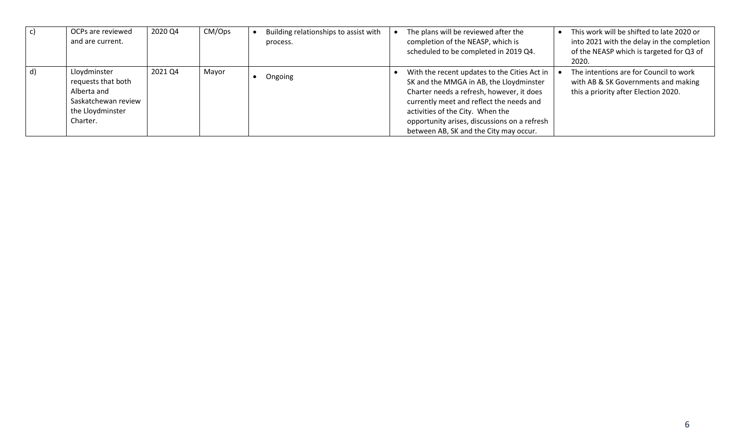| OCPs are reviewed<br>and are current.                                                                    | 2020 Q4 | CM/Ops | Building relationships to assist with<br>process. | The plans will be reviewed after the<br>This work will be shifted to late 2020 or<br>completion of the NEASP, which is<br>into 2021 with the delay in the completion<br>of the NEASP which is targeted for Q3 of<br>scheduled to be completed in 2019 Q4.<br>2020.                                                                                                                                                                      |  |
|----------------------------------------------------------------------------------------------------------|---------|--------|---------------------------------------------------|-----------------------------------------------------------------------------------------------------------------------------------------------------------------------------------------------------------------------------------------------------------------------------------------------------------------------------------------------------------------------------------------------------------------------------------------|--|
| Lloydminster<br>requests that both<br>Alberta and<br>Saskatchewan review<br>the Lloydminster<br>Charter. | 2021 Q4 | Mayor  | Ongoing                                           | The intentions are for Council to work<br>With the recent updates to the Cities Act in<br>SK and the MMGA in AB, the Lloydminster<br>with AB & SK Governments and making<br>this a priority after Election 2020.<br>Charter needs a refresh, however, it does<br>currently meet and reflect the needs and<br>activities of the City. When the<br>opportunity arises, discussions on a refresh<br>between AB, SK and the City may occur. |  |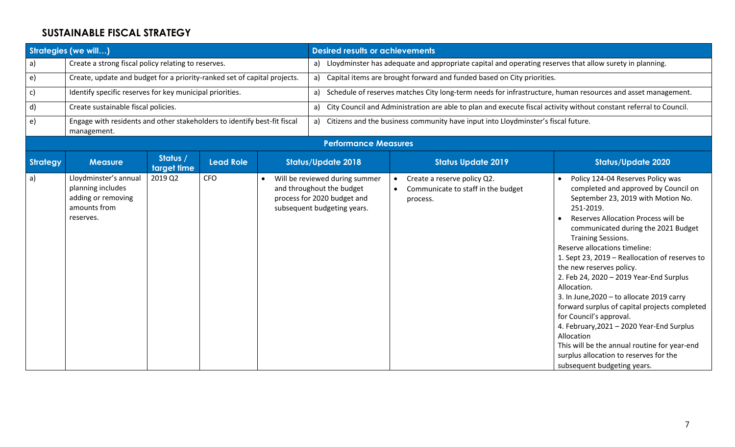#### **SUSTAINABLE FISCAL STRATEGY**

|               | <b>Strategies (we will)</b>                                                                   |                         |                  | <b>Desired results or achievements</b>                                                                                    |                                                                                   |                                                                                                         |                                                                                                                                                                                                                                                                                                                                                                                                                                                                                                                                                                                                                                                                                                                               |  |  |  |
|---------------|-----------------------------------------------------------------------------------------------|-------------------------|------------------|---------------------------------------------------------------------------------------------------------------------------|-----------------------------------------------------------------------------------|---------------------------------------------------------------------------------------------------------|-------------------------------------------------------------------------------------------------------------------------------------------------------------------------------------------------------------------------------------------------------------------------------------------------------------------------------------------------------------------------------------------------------------------------------------------------------------------------------------------------------------------------------------------------------------------------------------------------------------------------------------------------------------------------------------------------------------------------------|--|--|--|
| a)            | Create a strong fiscal policy relating to reserves.                                           |                         |                  | a)                                                                                                                        |                                                                                   | Lloydminster has adequate and appropriate capital and operating reserves that allow surety in planning. |                                                                                                                                                                                                                                                                                                                                                                                                                                                                                                                                                                                                                                                                                                                               |  |  |  |
| $\epsilon$    | Create, update and budget for a priority-ranked set of capital projects.                      |                         |                  | a)                                                                                                                        |                                                                                   | Capital items are brought forward and funded based on City priorities.                                  |                                                                                                                                                                                                                                                                                                                                                                                                                                                                                                                                                                                                                                                                                                                               |  |  |  |
| $\mathsf{c})$ | Identify specific reserves for key municipal priorities.                                      |                         |                  | Schedule of reserves matches City long-term needs for infrastructure, human resources and asset management.<br>a)         |                                                                                   |                                                                                                         |                                                                                                                                                                                                                                                                                                                                                                                                                                                                                                                                                                                                                                                                                                                               |  |  |  |
| d)            | Create sustainable fiscal policies.                                                           |                         |                  | City Council and Administration are able to plan and execute fiscal activity without constant referral to Council.<br>a)  |                                                                                   |                                                                                                         |                                                                                                                                                                                                                                                                                                                                                                                                                                                                                                                                                                                                                                                                                                                               |  |  |  |
| $\epsilon$    | Engage with residents and other stakeholders to identify best-fit fiscal<br>management.       |                         |                  | a)                                                                                                                        | Citizens and the business community have input into Lloydminster's fiscal future. |                                                                                                         |                                                                                                                                                                                                                                                                                                                                                                                                                                                                                                                                                                                                                                                                                                                               |  |  |  |
|               |                                                                                               |                         |                  | <b>Performance Measures</b>                                                                                               |                                                                                   |                                                                                                         |                                                                                                                                                                                                                                                                                                                                                                                                                                                                                                                                                                                                                                                                                                                               |  |  |  |
| Strategy      | <b>Measure</b>                                                                                | Status /<br>target time | <b>Lead Role</b> | <b>Status/Update 2018</b>                                                                                                 |                                                                                   | <b>Status Update 2019</b>                                                                               | <b>Status/Update 2020</b>                                                                                                                                                                                                                                                                                                                                                                                                                                                                                                                                                                                                                                                                                                     |  |  |  |
| $\mathsf{a}$  | Lloydminster's annual<br>planning includes<br>adding or removing<br>amounts from<br>reserves. | 2019 Q2                 | <b>CFO</b>       | Will be reviewed during summer<br>and throughout the budget<br>process for 2020 budget and<br>subsequent budgeting years. | $\bullet$                                                                         | Create a reserve policy Q2.<br>Communicate to staff in the budget<br>process.                           | Policy 124-04 Reserves Policy was<br>completed and approved by Council on<br>September 23, 2019 with Motion No.<br>251-2019.<br>Reserves Allocation Process will be<br>communicated during the 2021 Budget<br><b>Training Sessions.</b><br>Reserve allocations timeline:<br>1. Sept 23, 2019 - Reallocation of reserves to<br>the new reserves policy.<br>2. Feb 24, 2020 - 2019 Year-End Surplus<br>Allocation.<br>3. In June, 2020 - to allocate 2019 carry<br>forward surplus of capital projects completed<br>for Council's approval.<br>4. February, 2021 - 2020 Year-End Surplus<br>Allocation<br>This will be the annual routine for year-end<br>surplus allocation to reserves for the<br>subsequent budgeting years. |  |  |  |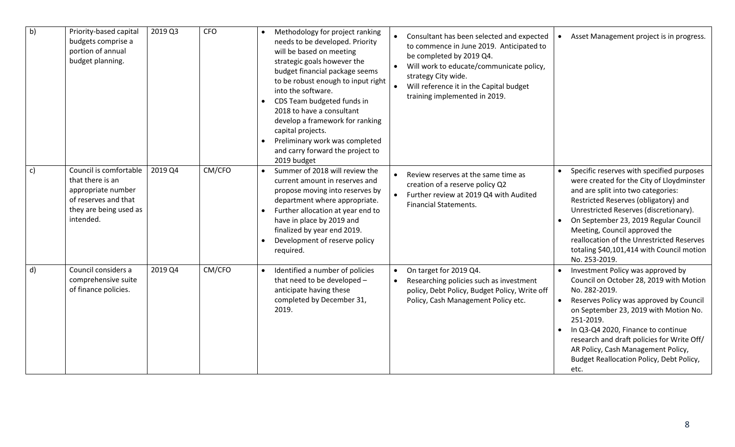| b)           | Priority-based capital<br>budgets comprise a<br>portion of annual<br>budget planning.                                           | 2019 Q3 | <b>CFO</b> | Methodology for project ranking<br>needs to be developed. Priority<br>will be based on meeting<br>strategic goals however the<br>budget financial package seems<br>to be robust enough to input right<br>into the software.<br>CDS Team budgeted funds in<br>2018 to have a consultant<br>develop a framework for ranking<br>capital projects.<br>Preliminary work was completed<br>and carry forward the project to<br>2019 budget | $\bullet$              | Consultant has been selected and expected<br>to commence in June 2019. Anticipated to<br>be completed by 2019 Q4.<br>Will work to educate/communicate policy,<br>strategy City wide.<br>Will reference it in the Capital budget<br>training implemented in 2019. |           | Asset Management project is in progress.                                                                                                                                                                                                                                                                                                                                                            |
|--------------|---------------------------------------------------------------------------------------------------------------------------------|---------|------------|-------------------------------------------------------------------------------------------------------------------------------------------------------------------------------------------------------------------------------------------------------------------------------------------------------------------------------------------------------------------------------------------------------------------------------------|------------------------|------------------------------------------------------------------------------------------------------------------------------------------------------------------------------------------------------------------------------------------------------------------|-----------|-----------------------------------------------------------------------------------------------------------------------------------------------------------------------------------------------------------------------------------------------------------------------------------------------------------------------------------------------------------------------------------------------------|
| $\mathsf{c}$ | Council is comfortable<br>that there is an<br>appropriate number<br>of reserves and that<br>they are being used as<br>intended. | 2019 Q4 | CM/CFO     | Summer of 2018 will review the<br>current amount in reserves and<br>propose moving into reserves by<br>department where appropriate.<br>Further allocation at year end to<br>have in place by 2019 and<br>finalized by year end 2019.<br>Development of reserve policy<br>required.                                                                                                                                                 | $\bullet$              | Review reserves at the same time as<br>creation of a reserve policy Q2<br>Further review at 2019 Q4 with Audited<br><b>Financial Statements.</b>                                                                                                                 |           | Specific reserves with specified purposes<br>were created for the City of Lloydminster<br>and are split into two categories:<br>Restricted Reserves (obligatory) and<br>Unrestricted Reserves (discretionary).<br>On September 23, 2019 Regular Council<br>Meeting, Council approved the<br>reallocation of the Unrestricted Reserves<br>totaling \$40,101,414 with Council motion<br>No. 253-2019. |
| $\mathsf{d}$ | Council considers a<br>comprehensive suite<br>of finance policies.                                                              | 2019 Q4 | CM/CFO     | Identified a number of policies<br>that need to be developed -<br>anticipate having these<br>completed by December 31,<br>2019.                                                                                                                                                                                                                                                                                                     | $\bullet$<br>$\bullet$ | On target for 2019 Q4.<br>Researching policies such as investment<br>policy, Debt Policy, Budget Policy, Write off<br>Policy, Cash Management Policy etc.                                                                                                        | $\bullet$ | Investment Policy was approved by<br>Council on October 28, 2019 with Motion<br>No. 282-2019.<br>Reserves Policy was approved by Council<br>on September 23, 2019 with Motion No.<br>251-2019.<br>In Q3-Q4 2020, Finance to continue<br>research and draft policies for Write Off/<br>AR Policy, Cash Management Policy,<br>Budget Reallocation Policy, Debt Policy,<br>etc.                        |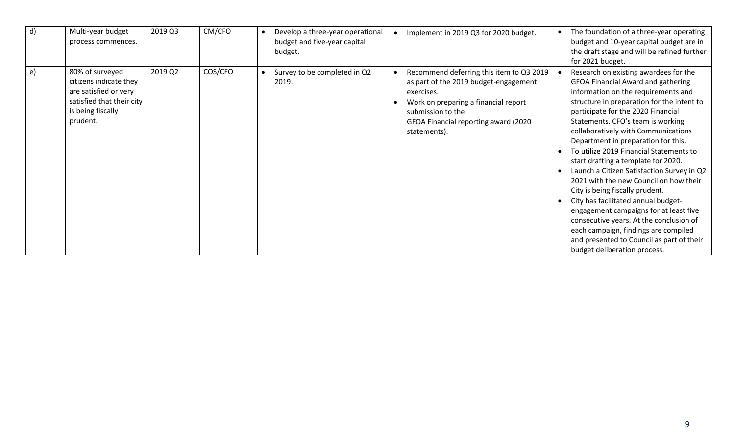| $\mathsf{d}$ | Multi-year budget<br>process commences.                                                                                          | 2019 Q3 | CM/CFO  | Develop a three-year operational<br>budget and five-year capital<br>budget. | $\bullet$ | Implement in 2019 Q3 for 2020 budget.                                                                                                                                                                                | The foundation of a three-year operating<br>budget and 10-year capital budget are in<br>the draft stage and will be refined further<br>for 2021 budget.                                                                                                                                                                                                                                                                                                                                                                                                                                                                                                                                                                                                                                        |
|--------------|----------------------------------------------------------------------------------------------------------------------------------|---------|---------|-----------------------------------------------------------------------------|-----------|----------------------------------------------------------------------------------------------------------------------------------------------------------------------------------------------------------------------|------------------------------------------------------------------------------------------------------------------------------------------------------------------------------------------------------------------------------------------------------------------------------------------------------------------------------------------------------------------------------------------------------------------------------------------------------------------------------------------------------------------------------------------------------------------------------------------------------------------------------------------------------------------------------------------------------------------------------------------------------------------------------------------------|
| e)           | 80% of surveyed<br>citizens indicate they<br>are satisfied or very<br>satisfied that their city<br>is being fiscally<br>prudent. | 2019 Q2 | COS/CFO | Survey to be completed in Q2<br>2019.                                       |           | Recommend deferring this item to Q3 2019<br>as part of the 2019 budget-engagement<br>exercises.<br>Work on preparing a financial report<br>submission to the<br>GFOA Financial reporting award (2020<br>statements). | Research on existing awardees for the<br><b>GFOA Financial Award and gathering</b><br>information on the requirements and<br>structure in preparation for the intent to<br>participate for the 2020 Financial<br>Statements. CFO's team is working<br>collaboratively with Communications<br>Department in preparation for this.<br>To utilize 2019 Financial Statements to<br>start drafting a template for 2020.<br>Launch a Citizen Satisfaction Survey in Q2<br>2021 with the new Council on how their<br>City is being fiscally prudent.<br>City has facilitated annual budget-<br>engagement campaigns for at least five<br>consecutive years. At the conclusion of<br>each campaign, findings are compiled<br>and presented to Council as part of their<br>budget deliberation process. |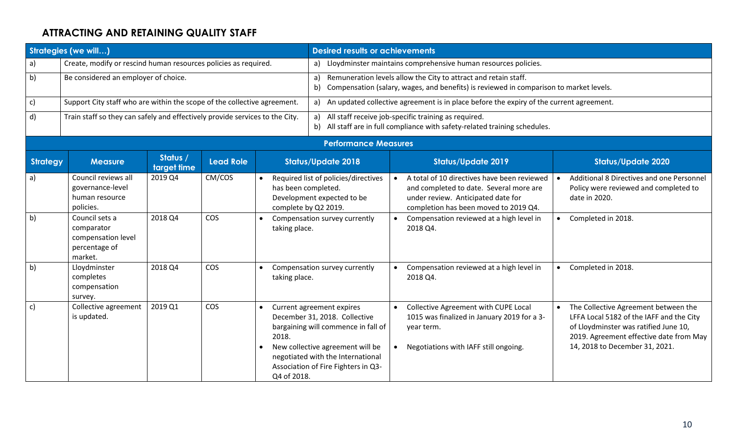# **ATTRACTING AND RETAINING QUALITY STAFF**

| <b>Strategies (we will)</b> |                                                                                |                         |                  |                                             | <b>Desired results or achievements</b>                                                                                                                                                                            |           |                                                                                                                                                                       |           |                                                                                                                                                                                                        |  |
|-----------------------------|--------------------------------------------------------------------------------|-------------------------|------------------|---------------------------------------------|-------------------------------------------------------------------------------------------------------------------------------------------------------------------------------------------------------------------|-----------|-----------------------------------------------------------------------------------------------------------------------------------------------------------------------|-----------|--------------------------------------------------------------------------------------------------------------------------------------------------------------------------------------------------------|--|
| a)                          | Create, modify or rescind human resources policies as required.                |                         |                  |                                             |                                                                                                                                                                                                                   |           | a) Lloydminster maintains comprehensive human resources policies.                                                                                                     |           |                                                                                                                                                                                                        |  |
| b)                          | Be considered an employer of choice.                                           |                         |                  |                                             | a) Remuneration levels allow the City to attract and retain staff.<br>Compensation (salary, wages, and benefits) is reviewed in comparison to market levels.<br>b)                                                |           |                                                                                                                                                                       |           |                                                                                                                                                                                                        |  |
| $\mathsf{c}$                | Support City staff who are within the scope of the collective agreement.       |                         |                  |                                             | a) An updated collective agreement is in place before the expiry of the current agreement.                                                                                                                        |           |                                                                                                                                                                       |           |                                                                                                                                                                                                        |  |
| d)                          | Train staff so they can safely and effectively provide services to the City.   |                         |                  |                                             | All staff receive job-specific training as required.<br>a)<br>b) All staff are in full compliance with safety-related training schedules.                                                                         |           |                                                                                                                                                                       |           |                                                                                                                                                                                                        |  |
|                             |                                                                                |                         |                  |                                             | <b>Performance Measures</b>                                                                                                                                                                                       |           |                                                                                                                                                                       |           |                                                                                                                                                                                                        |  |
| Strategy                    | <b>Measure</b>                                                                 | Status /<br>target time | <b>Lead Role</b> |                                             | <b>Status/Update 2018</b>                                                                                                                                                                                         |           | <b>Status/Update 2019</b>                                                                                                                                             |           | <b>Status/Update 2020</b>                                                                                                                                                                              |  |
| a)                          | Council reviews all<br>governance-level<br>human resource<br>policies.         | 2019 Q4                 | CM/COS           | has been completed.<br>complete by Q2 2019. | Required list of policies/directives<br>Development expected to be                                                                                                                                                | $\bullet$ | A total of 10 directives have been reviewed<br>and completed to date. Several more are<br>under review. Anticipated date for<br>completion has been moved to 2019 Q4. |           | Additional 8 Directives and one Personnel<br>Policy were reviewed and completed to<br>date in 2020.                                                                                                    |  |
| b)                          | Council sets a<br>comparator<br>compensation level<br>percentage of<br>market. | 2018 Q4                 | <b>COS</b>       | taking place.                               | Compensation survey currently                                                                                                                                                                                     | $\bullet$ | Compensation reviewed at a high level in<br>2018 Q4.                                                                                                                  | $\bullet$ | Completed in 2018.                                                                                                                                                                                     |  |
| b)                          | Lloydminster<br>completes<br>compensation<br>survey.                           | 2018 Q4                 | <b>COS</b>       | taking place.                               | Compensation survey currently                                                                                                                                                                                     |           | Compensation reviewed at a high level in<br>2018 Q4.                                                                                                                  | $\bullet$ | Completed in 2018.                                                                                                                                                                                     |  |
| c)                          | Collective agreement<br>is updated.                                            | 2019 Q1                 | <b>COS</b>       | 2018.<br>Q4 of 2018.                        | Current agreement expires<br>December 31, 2018. Collective<br>bargaining will commence in fall of<br>New collective agreement will be<br>negotiated with the International<br>Association of Fire Fighters in Q3- | $\bullet$ | Collective Agreement with CUPE Local<br>1015 was finalized in January 2019 for a 3-<br>year term.<br>Negotiations with IAFF still ongoing.                            | $\bullet$ | The Collective Agreement between the<br>LFFA Local 5182 of the IAFF and the City<br>of Lloydminster was ratified June 10,<br>2019. Agreement effective date from May<br>14, 2018 to December 31, 2021. |  |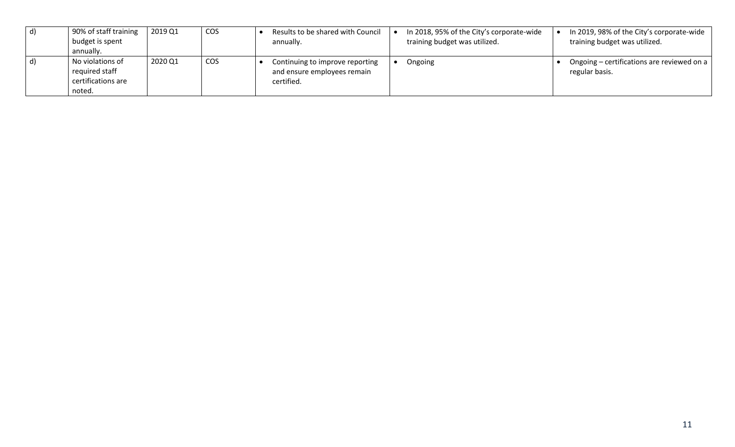| $\mathsf{d}$ | 90% of staff training<br>budget is spent<br>annually.              | 2019 Q1 | <b>COS</b> | Results to be shared with Council<br>annually.                               | In 2018, 95% of the City's corporate-wide<br>training budget was utilized. | In 2019, 98% of the City's corporate-wide<br>training budget was utilized. |
|--------------|--------------------------------------------------------------------|---------|------------|------------------------------------------------------------------------------|----------------------------------------------------------------------------|----------------------------------------------------------------------------|
| $\mathsf{d}$ | No violations of<br>required staff<br>certifications are<br>noted. | 2020 Q1 | <b>COS</b> | Continuing to improve reporting<br>and ensure employees remain<br>certified. | Ongoing                                                                    | Ongoing – certifications are reviewed on a<br>regular basis.               |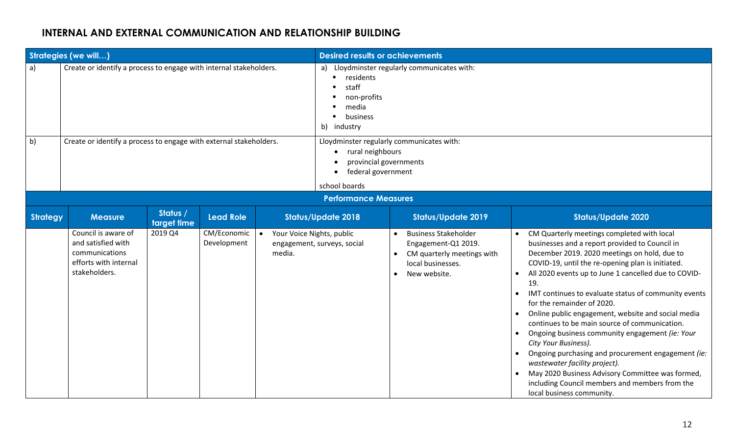# **INTERNAL AND EXTERNAL COMMUNICATION AND RELATIONSHIP BUILDING**

|                 | <b>Strategies (we will)</b>                                                                           |                         |                            |                                                  | <b>Desired results or achievements</b>                                                                                         |                                                                                                                                    |  |                                                                                                                                                                                                                                                                                                                                                                                                                                                                                                                                                                                                                                                                                                                                                                    |  |  |  |
|-----------------|-------------------------------------------------------------------------------------------------------|-------------------------|----------------------------|--------------------------------------------------|--------------------------------------------------------------------------------------------------------------------------------|------------------------------------------------------------------------------------------------------------------------------------|--|--------------------------------------------------------------------------------------------------------------------------------------------------------------------------------------------------------------------------------------------------------------------------------------------------------------------------------------------------------------------------------------------------------------------------------------------------------------------------------------------------------------------------------------------------------------------------------------------------------------------------------------------------------------------------------------------------------------------------------------------------------------------|--|--|--|
| a)              | Create or identify a process to engage with internal stakeholders.                                    |                         |                            |                                                  | a) Lloydminster regularly communicates with:<br>residents<br>staff<br>non-profits<br>media<br>business<br>industry<br>b)       |                                                                                                                                    |  |                                                                                                                                                                                                                                                                                                                                                                                                                                                                                                                                                                                                                                                                                                                                                                    |  |  |  |
| b)              | Create or identify a process to engage with external stakeholders.                                    |                         |                            |                                                  | Lloydminster regularly communicates with:<br>rural neighbours<br>provincial governments<br>federal government<br>school boards |                                                                                                                                    |  |                                                                                                                                                                                                                                                                                                                                                                                                                                                                                                                                                                                                                                                                                                                                                                    |  |  |  |
|                 |                                                                                                       |                         |                            |                                                  |                                                                                                                                | <b>Performance Measures</b>                                                                                                        |  |                                                                                                                                                                                                                                                                                                                                                                                                                                                                                                                                                                                                                                                                                                                                                                    |  |  |  |
| <b>Strategy</b> | <b>Measure</b>                                                                                        | Status /<br>target time | <b>Lead Role</b>           |                                                  | <b>Status/Update 2018</b>                                                                                                      | <b>Status/Update 2019</b>                                                                                                          |  | <b>Status/Update 2020</b>                                                                                                                                                                                                                                                                                                                                                                                                                                                                                                                                                                                                                                                                                                                                          |  |  |  |
|                 | Council is aware of<br>and satisfied with<br>communications<br>efforts with internal<br>stakeholders. | 2019 Q4                 | CM/Economic<br>Development | Your Voice Nights, public<br>$\bullet$<br>media. | engagement, surveys, social                                                                                                    | <b>Business Stakeholder</b><br>$\bullet$<br>Engagement-Q1 2019.<br>CM quarterly meetings with<br>local businesses.<br>New website. |  | CM Quarterly meetings completed with local<br>businesses and a report provided to Council in<br>December 2019. 2020 meetings on hold, due to<br>COVID-19, until the re-opening plan is initiated.<br>All 2020 events up to June 1 cancelled due to COVID-<br>19.<br>IMT continues to evaluate status of community events<br>for the remainder of 2020.<br>Online public engagement, website and social media<br>continues to be main source of communication.<br>Ongoing business community engagement (ie: Your<br>City Your Business).<br>Ongoing purchasing and procurement engagement (ie:<br>wastewater facility project).<br>May 2020 Business Advisory Committee was formed,<br>including Council members and members from the<br>local business community. |  |  |  |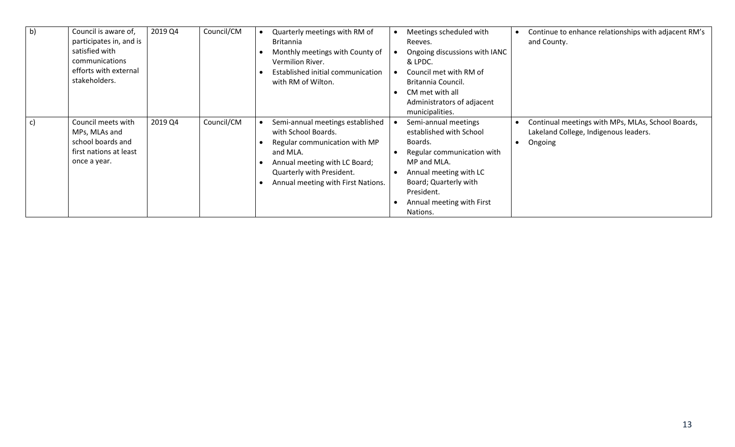| b) | Council is aware of,<br>participates in, and is<br>satisfied with<br>communications<br>efforts with external<br>stakeholders. | 2019 Q4 | Council/CM | Quarterly meetings with RM of<br><b>Britannia</b><br>Monthly meetings with County of<br>Vermilion River.<br>Established initial communication<br>with RM of Wilton.                                      | Meetings scheduled with<br>Reeves.<br>Ongoing discussions with IANC<br>& LPDC.<br>Council met with RM of<br>Britannia Council.<br>CM met with all<br>Administrators of adjacent<br>municipalities.                | Continue to enhance relationships with adjacent RM's<br>and County.                                   |
|----|-------------------------------------------------------------------------------------------------------------------------------|---------|------------|----------------------------------------------------------------------------------------------------------------------------------------------------------------------------------------------------------|-------------------------------------------------------------------------------------------------------------------------------------------------------------------------------------------------------------------|-------------------------------------------------------------------------------------------------------|
| C) | Council meets with<br>MPs, MLAs and<br>school boards and<br>first nations at least<br>once a year.                            | 2019 Q4 | Council/CM | Semi-annual meetings established<br>with School Boards.<br>Regular communication with MP<br>and MLA.<br>Annual meeting with LC Board;<br>Quarterly with President.<br>Annual meeting with First Nations. | Semi-annual meetings<br>established with School<br>Boards.<br>Regular communication with<br>MP and MLA.<br>Annual meeting with LC<br>Board; Quarterly with<br>President.<br>Annual meeting with First<br>Nations. | Continual meetings with MPs, MLAs, School Boards,<br>Lakeland College, Indigenous leaders.<br>Ongoing |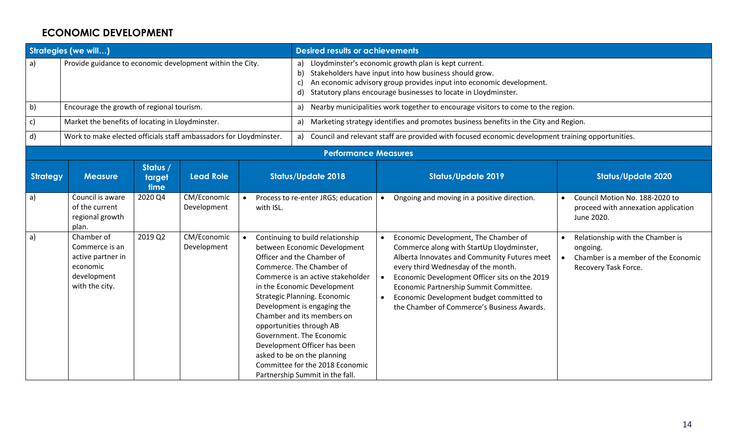### **ECONOMIC DEVELOPMENT**

|                 | <b>Strategies (we will)</b>                                                                    |                            |                            |           | <b>Desired results or achievements</b>                                                                                                                                                                                                                                                                                                                                                                                                                                                   |                                                                                                                                                                                                                                                                                                                                                               |           |                                                                                                             |  |  |  |  |
|-----------------|------------------------------------------------------------------------------------------------|----------------------------|----------------------------|-----------|------------------------------------------------------------------------------------------------------------------------------------------------------------------------------------------------------------------------------------------------------------------------------------------------------------------------------------------------------------------------------------------------------------------------------------------------------------------------------------------|---------------------------------------------------------------------------------------------------------------------------------------------------------------------------------------------------------------------------------------------------------------------------------------------------------------------------------------------------------------|-----------|-------------------------------------------------------------------------------------------------------------|--|--|--|--|
| a)              | Provide guidance to economic development within the City.                                      |                            |                            |           | b)<br>c)                                                                                                                                                                                                                                                                                                                                                                                                                                                                                 | a) Lloydminster's economic growth plan is kept current.<br>Stakeholders have input into how business should grow.<br>An economic advisory group provides input into economic development.<br>d) Statutory plans encourage businesses to locate in Lloydminster.                                                                                               |           |                                                                                                             |  |  |  |  |
| b)              | Encourage the growth of regional tourism.                                                      |                            |                            |           | a) Nearby municipalities work together to encourage visitors to come to the region.                                                                                                                                                                                                                                                                                                                                                                                                      |                                                                                                                                                                                                                                                                                                                                                               |           |                                                                                                             |  |  |  |  |
| c)              | Market the benefits of locating in Lloydminster.                                               |                            |                            |           | a) Marketing strategy identifies and promotes business benefits in the City and Region.                                                                                                                                                                                                                                                                                                                                                                                                  |                                                                                                                                                                                                                                                                                                                                                               |           |                                                                                                             |  |  |  |  |
| d)              | Work to make elected officials staff ambassadors for Lloydminster.                             |                            |                            |           | a) Council and relevant staff are provided with focused economic development training opportunities.                                                                                                                                                                                                                                                                                                                                                                                     |                                                                                                                                                                                                                                                                                                                                                               |           |                                                                                                             |  |  |  |  |
|                 |                                                                                                |                            |                            |           | <b>Performance Measures</b>                                                                                                                                                                                                                                                                                                                                                                                                                                                              |                                                                                                                                                                                                                                                                                                                                                               |           |                                                                                                             |  |  |  |  |
| <b>Strategy</b> | <b>Measure</b>                                                                                 | Status /<br>target<br>time | <b>Lead Role</b>           |           | <b>Status/Update 2018</b>                                                                                                                                                                                                                                                                                                                                                                                                                                                                | <b>Status/Update 2019</b>                                                                                                                                                                                                                                                                                                                                     |           | <b>Status/Update 2020</b>                                                                                   |  |  |  |  |
| a)              | Council is aware<br>of the current<br>regional growth<br>plan.                                 | 2020 Q4                    | CM/Economic<br>Development | with ISL. | Process to re-enter JRGS; education                                                                                                                                                                                                                                                                                                                                                                                                                                                      | Ongoing and moving in a positive direction.<br>$\bullet$                                                                                                                                                                                                                                                                                                      |           | Council Motion No. 188-2020 to<br>proceed with annexation application<br>June 2020.                         |  |  |  |  |
| a)              | Chamber of<br>Commerce is an<br>active partner in<br>economic<br>development<br>with the city. | 2019 Q2                    | CM/Economic<br>Development |           | Continuing to build relationship<br>between Economic Development<br>Officer and the Chamber of<br>Commerce. The Chamber of<br>Commerce is an active stakeholder<br>in the Economic Development<br>Strategic Planning. Economic<br>Development is engaging the<br>Chamber and its members on<br>opportunities through AB<br>Government. The Economic<br>Development Officer has been<br>asked to be on the planning<br>Committee for the 2018 Economic<br>Partnership Summit in the fall. | Economic Development, The Chamber of<br>Commerce along with StartUp Lloydminster,<br>Alberta Innovates and Community Futures meet<br>every third Wednesday of the month.<br>Economic Development Officer sits on the 2019<br>Economic Partnership Summit Committee.<br>Economic Development budget committed to<br>the Chamber of Commerce's Business Awards. | $\bullet$ | Relationship with the Chamber is<br>ongoing.<br>Chamber is a member of the Economic<br>Recovery Task Force. |  |  |  |  |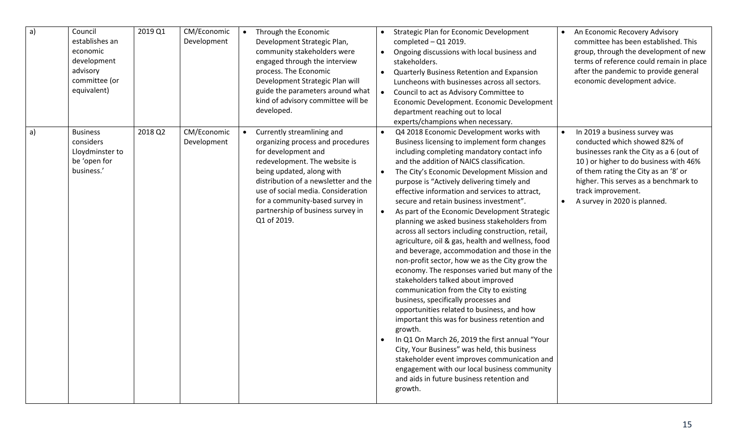| a)           | Council<br>establishes an<br>economic<br>development<br>advisory<br>committee (or<br>equivalent) | 2019 Q1 | CM/Economic<br>Development | Through the Economic<br>Development Strategic Plan,<br>community stakeholders were<br>engaged through the interview<br>process. The Economic<br>Development Strategic Plan will<br>guide the parameters around what<br>kind of advisory committee will be<br>developed.                                                   | Strategic Plan for Economic Development<br>An Economic Recovery Advisory<br>completed $-$ Q1 2019.<br>committee has been established. This<br>group, through the development of new<br>Ongoing discussions with local business and<br>$\bullet$<br>terms of reference could remain in place<br>stakeholders.<br>after the pandemic to provide general<br>Quarterly Business Retention and Expansion<br>$\bullet$<br>economic development advice.<br>Luncheons with businesses across all sectors.<br>Council to act as Advisory Committee to<br>Economic Development. Economic Development<br>department reaching out to local<br>experts/champions when necessary.                                                                                                                                                                                                                                                                                                                                                                                                                                                                                                                                                                                                                                                                                                                                                                                                                                                                                                                        |
|--------------|--------------------------------------------------------------------------------------------------|---------|----------------------------|---------------------------------------------------------------------------------------------------------------------------------------------------------------------------------------------------------------------------------------------------------------------------------------------------------------------------|--------------------------------------------------------------------------------------------------------------------------------------------------------------------------------------------------------------------------------------------------------------------------------------------------------------------------------------------------------------------------------------------------------------------------------------------------------------------------------------------------------------------------------------------------------------------------------------------------------------------------------------------------------------------------------------------------------------------------------------------------------------------------------------------------------------------------------------------------------------------------------------------------------------------------------------------------------------------------------------------------------------------------------------------------------------------------------------------------------------------------------------------------------------------------------------------------------------------------------------------------------------------------------------------------------------------------------------------------------------------------------------------------------------------------------------------------------------------------------------------------------------------------------------------------------------------------------------------|
| $\mathsf{a}$ | <b>Business</b><br>considers<br>Lloydminster to<br>be 'open for<br>business.'                    | 2018 Q2 | CM/Economic<br>Development | Currently streamlining and<br>organizing process and procedures<br>for development and<br>redevelopment. The website is<br>being updated, along with<br>distribution of a newsletter and the<br>use of social media. Consideration<br>for a community-based survey in<br>partnership of business survey in<br>Q1 of 2019. | Q4 2018 Economic Development works with<br>In 2019 a business survey was<br>$\bullet$<br>$\bullet$<br>Business licensing to implement form changes<br>conducted which showed 82% of<br>including completing mandatory contact info<br>businesses rank the City as a 6 (out of<br>and the addition of NAICS classification.<br>10) or higher to do business with 46%<br>of them rating the City as an '8' or<br>The City's Economic Development Mission and<br>$\bullet$<br>higher. This serves as a benchmark to<br>purpose is "Actively delivering timely and<br>track improvement.<br>effective information and services to attract,<br>secure and retain business investment".<br>A survey in 2020 is planned.<br>$\bullet$<br>As part of the Economic Development Strategic<br>planning we asked business stakeholders from<br>across all sectors including construction, retail,<br>agriculture, oil & gas, health and wellness, food<br>and beverage, accommodation and those in the<br>non-profit sector, how we as the City grow the<br>economy. The responses varied but many of the<br>stakeholders talked about improved<br>communication from the City to existing<br>business, specifically processes and<br>opportunities related to business, and how<br>important this was for business retention and<br>growth.<br>In Q1 On March 26, 2019 the first annual "Your<br>City, Your Business" was held, this business<br>stakeholder event improves communication and<br>engagement with our local business community<br>and aids in future business retention and<br>growth. |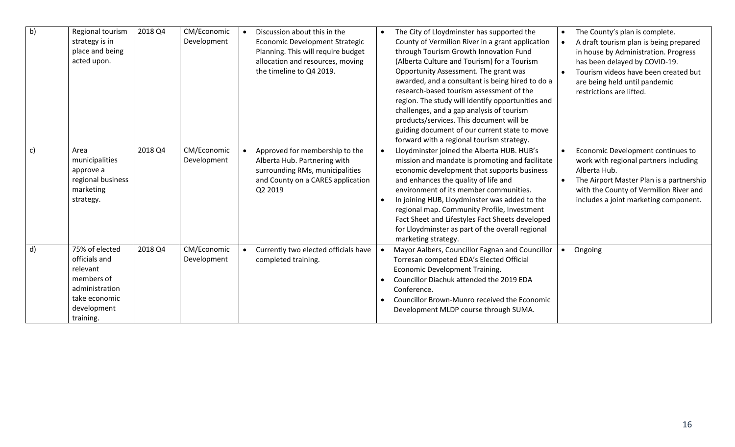| b)           | Regional tourism<br>strategy is in<br>place and being<br>acted upon.                                                     | 2018 Q4 | CM/Economic<br>Development | Discussion about this in the<br><b>Economic Development Strategic</b><br>Planning. This will require budget<br>allocation and resources, moving<br>the timeline to Q4 2019. | The City of Lloydminster has supported the<br>County of Vermilion River in a grant application<br>through Tourism Growth Innovation Fund<br>(Alberta Culture and Tourism) for a Tourism<br>Opportunity Assessment. The grant was<br>awarded, and a consultant is being hired to do a<br>research-based tourism assessment of the<br>region. The study will identify opportunities and<br>challenges, and a gap analysis of tourism<br>products/services. This document will be<br>guiding document of our current state to move<br>forward with a regional tourism strategy. | $\bullet$ | The County's plan is complete.<br>A draft tourism plan is being prepared<br>in house by Administration. Progress<br>has been delayed by COVID-19.<br>Tourism videos have been created but<br>are being held until pandemic<br>restrictions are lifted. |
|--------------|--------------------------------------------------------------------------------------------------------------------------|---------|----------------------------|-----------------------------------------------------------------------------------------------------------------------------------------------------------------------------|------------------------------------------------------------------------------------------------------------------------------------------------------------------------------------------------------------------------------------------------------------------------------------------------------------------------------------------------------------------------------------------------------------------------------------------------------------------------------------------------------------------------------------------------------------------------------|-----------|--------------------------------------------------------------------------------------------------------------------------------------------------------------------------------------------------------------------------------------------------------|
| $\mathsf{c}$ | Area<br>municipalities<br>approve a<br>regional business<br>marketing<br>strategy.                                       | 2018 Q4 | CM/Economic<br>Development | Approved for membership to the<br>Alberta Hub. Partnering with<br>surrounding RMs, municipalities<br>and County on a CARES application<br>Q2 2019                           | Lloydminster joined the Alberta HUB. HUB's<br>mission and mandate is promoting and facilitate<br>economic development that supports business<br>and enhances the quality of life and<br>environment of its member communities.<br>In joining HUB, Lloydminster was added to the<br>regional map. Community Profile, Investment<br>Fact Sheet and Lifestyles Fact Sheets developed<br>for Lloydminster as part of the overall regional<br>marketing strategy.                                                                                                                 | $\bullet$ | Economic Development continues to<br>work with regional partners including<br>Alberta Hub.<br>The Airport Master Plan is a partnership<br>with the County of Vermilion River and<br>includes a joint marketing component.                              |
| d)           | 75% of elected<br>officials and<br>relevant<br>members of<br>administration<br>take economic<br>development<br>training. | 2018 Q4 | CM/Economic<br>Development | Currently two elected officials have<br>completed training.                                                                                                                 | Mayor Aalbers, Councillor Fagnan and Councillor<br>Torresan competed EDA's Elected Official<br>Economic Development Training.<br>Councillor Diachuk attended the 2019 EDA<br>Conference.<br>Councillor Brown-Munro received the Economic<br>Development MLDP course through SUMA.                                                                                                                                                                                                                                                                                            |           | Ongoing                                                                                                                                                                                                                                                |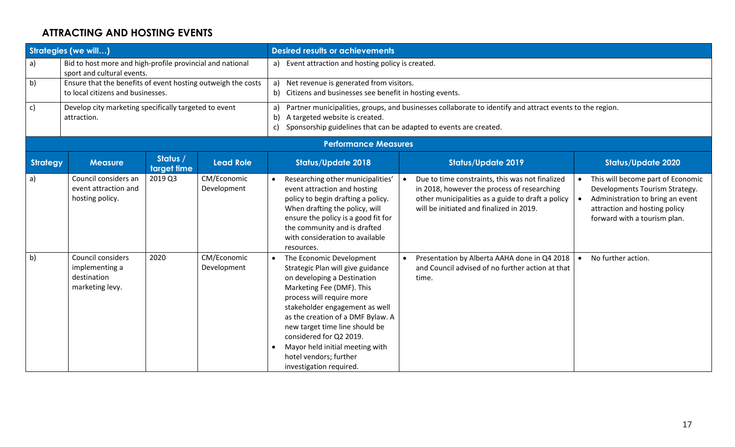# **ATTRACTING AND HOSTING EVENTS**

|                 | <b>Strategies (we will)</b>                                                                       |                         |                            |                                                                                                   | <b>Desired results or achievements</b>                                                                                                                                                                                                                                                                                                                                             |  |                                                                                                                                                                                                 |           |                                                                                                                                                                          |  |  |  |
|-----------------|---------------------------------------------------------------------------------------------------|-------------------------|----------------------------|---------------------------------------------------------------------------------------------------|------------------------------------------------------------------------------------------------------------------------------------------------------------------------------------------------------------------------------------------------------------------------------------------------------------------------------------------------------------------------------------|--|-------------------------------------------------------------------------------------------------------------------------------------------------------------------------------------------------|-----------|--------------------------------------------------------------------------------------------------------------------------------------------------------------------------|--|--|--|
| a)              | Bid to host more and high-profile provincial and national<br>sport and cultural events.           |                         |                            | a)                                                                                                | Event attraction and hosting policy is created.                                                                                                                                                                                                                                                                                                                                    |  |                                                                                                                                                                                                 |           |                                                                                                                                                                          |  |  |  |
| b)              | Ensure that the benefits of event hosting outweigh the costs<br>to local citizens and businesses. |                         | a)<br>b)                   | Net revenue is generated from visitors.<br>Citizens and businesses see benefit in hosting events. |                                                                                                                                                                                                                                                                                                                                                                                    |  |                                                                                                                                                                                                 |           |                                                                                                                                                                          |  |  |  |
| $\mathsf{c}$    | Develop city marketing specifically targeted to event<br>attraction.                              |                         |                            | a)<br>b)<br>$\mathsf{c}$                                                                          | Partner municipalities, groups, and businesses collaborate to identify and attract events to the region.<br>A targeted website is created.<br>Sponsorship guidelines that can be adapted to events are created.                                                                                                                                                                    |  |                                                                                                                                                                                                 |           |                                                                                                                                                                          |  |  |  |
|                 |                                                                                                   |                         |                            |                                                                                                   | <b>Performance Measures</b>                                                                                                                                                                                                                                                                                                                                                        |  |                                                                                                                                                                                                 |           |                                                                                                                                                                          |  |  |  |
| <b>Strategy</b> | <b>Measure</b>                                                                                    | Status /<br>target time | <b>Lead Role</b>           |                                                                                                   | <b>Status/Update 2018</b>                                                                                                                                                                                                                                                                                                                                                          |  | <b>Status/Update 2019</b>                                                                                                                                                                       |           | <b>Status/Update 2020</b>                                                                                                                                                |  |  |  |
| a)              | Council considers an<br>event attraction and<br>hosting policy.                                   | 2019 Q3                 | CM/Economic<br>Development |                                                                                                   | Researching other municipalities'<br>event attraction and hosting<br>policy to begin drafting a policy.<br>When drafting the policy, will<br>ensure the policy is a good fit for<br>the community and is drafted<br>with consideration to available<br>resources.                                                                                                                  |  | Due to time constraints, this was not finalized<br>in 2018, however the process of researching<br>other municipalities as a guide to draft a policy<br>will be initiated and finalized in 2019. | $\bullet$ | This will become part of Economic<br>Developments Tourism Strategy.<br>Administration to bring an event<br>attraction and hosting policy<br>forward with a tourism plan. |  |  |  |
| b)              | Council considers<br>implementing a<br>destination<br>marketing levy.                             | 2020                    | CM/Economic<br>Development |                                                                                                   | The Economic Development<br>Strategic Plan will give guidance<br>on developing a Destination<br>Marketing Fee (DMF). This<br>process will require more<br>stakeholder engagement as well<br>as the creation of a DMF Bylaw. A<br>new target time line should be<br>considered for Q2 2019.<br>Mayor held initial meeting with<br>hotel vendors; further<br>investigation required. |  | Presentation by Alberta AAHA done in Q4 2018<br>and Council advised of no further action at that<br>time.                                                                                       |           | No further action.                                                                                                                                                       |  |  |  |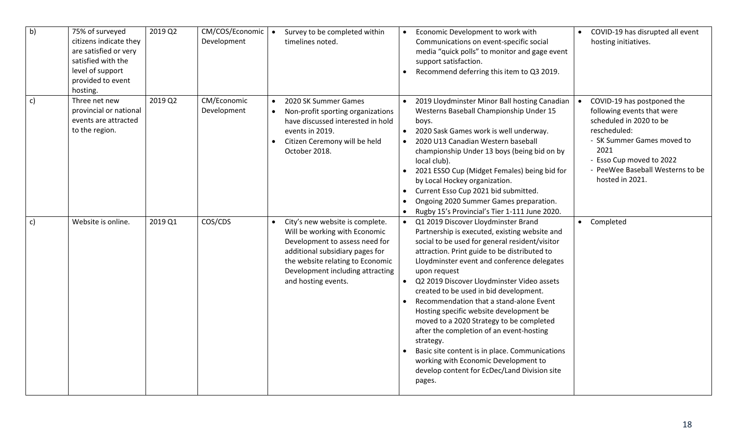| b)           | 75% of surveyed<br>citizens indicate they<br>are satisfied or very<br>satisfied with the<br>level of support<br>provided to event<br>hosting. | 2019 Q2 | CM/COS/Economic<br>Development |           | Survey to be completed within<br>timelines noted.                                                                                                                                                                                    | $\bullet$<br>$\bullet$              | Economic Development to work with<br>Communications on event-specific social<br>media "quick polls" to monitor and gage event<br>support satisfaction.<br>Recommend deferring this item to Q3 2019.                                                                                                                                                                                                                                                                                                                                                                                                                                                                                          | $\bullet$ | COVID-19 has disrupted all event<br>hosting initiatives.                                                                                                                                                                     |
|--------------|-----------------------------------------------------------------------------------------------------------------------------------------------|---------|--------------------------------|-----------|--------------------------------------------------------------------------------------------------------------------------------------------------------------------------------------------------------------------------------------|-------------------------------------|----------------------------------------------------------------------------------------------------------------------------------------------------------------------------------------------------------------------------------------------------------------------------------------------------------------------------------------------------------------------------------------------------------------------------------------------------------------------------------------------------------------------------------------------------------------------------------------------------------------------------------------------------------------------------------------------|-----------|------------------------------------------------------------------------------------------------------------------------------------------------------------------------------------------------------------------------------|
| $\mathsf{c}$ | Three net new<br>provincial or national<br>events are attracted<br>to the region.                                                             | 2019 Q2 | CM/Economic<br>Development     | $\bullet$ | 2020 SK Summer Games<br>Non-profit sporting organizations<br>have discussed interested in hold<br>events in 2019.<br>Citizen Ceremony will be held<br>October 2018.                                                                  | $\bullet$<br>$\bullet$<br>$\bullet$ | 2019 Lloydminster Minor Ball hosting Canadian<br>Westerns Baseball Championship Under 15<br>boys.<br>2020 Sask Games work is well underway.<br>2020 U13 Canadian Western baseball<br>championship Under 13 boys (being bid on by<br>local club).<br>2021 ESSO Cup (Midget Females) being bid for<br>by Local Hockey organization.<br>Current Esso Cup 2021 bid submitted.<br>Ongoing 2020 Summer Games preparation.<br>Rugby 15's Provincial's Tier 1-111 June 2020.                                                                                                                                                                                                                         | $\bullet$ | COVID-19 has postponed the<br>following events that were<br>scheduled in 2020 to be<br>rescheduled:<br>- SK Summer Games moved to<br>2021<br>- Esso Cup moved to 2022<br>- PeeWee Baseball Westerns to be<br>hosted in 2021. |
| c)           | Website is online.                                                                                                                            | 2019 Q1 | COS/CDS                        | $\bullet$ | City's new website is complete.<br>Will be working with Economic<br>Development to assess need for<br>additional subsidiary pages for<br>the website relating to Economic<br>Development including attracting<br>and hosting events. | $\bullet$                           | Q1 2019 Discover Lloydminster Brand<br>Partnership is executed, existing website and<br>social to be used for general resident/visitor<br>attraction. Print guide to be distributed to<br>Lloydminster event and conference delegates<br>upon request<br>Q2 2019 Discover Lloydminster Video assets<br>created to be used in bid development.<br>Recommendation that a stand-alone Event<br>Hosting specific website development be<br>moved to a 2020 Strategy to be completed<br>after the completion of an event-hosting<br>strategy.<br>Basic site content is in place. Communications<br>working with Economic Development to<br>develop content for EcDec/Land Division site<br>pages. | $\bullet$ | Completed                                                                                                                                                                                                                    |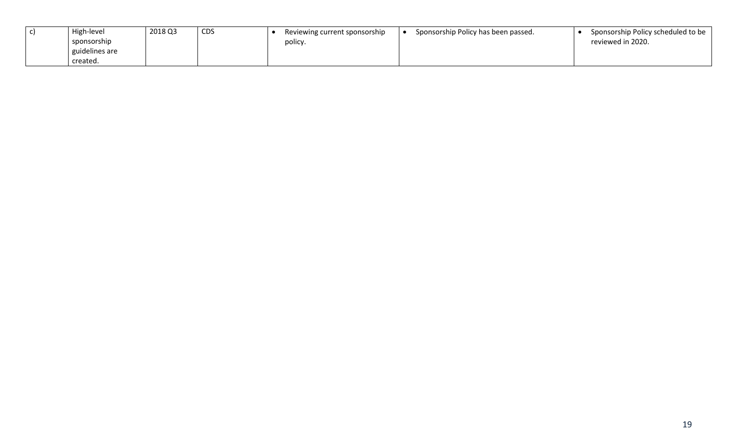| High-level     | 2018 Q3 | <b>CDS</b> | Reviewing current sponsorship | Sponsorship Policy has been passed. | Sponsorship Policy scheduled to be |
|----------------|---------|------------|-------------------------------|-------------------------------------|------------------------------------|
| sponsorship    |         |            | policy.                       |                                     | reviewed in 2020.                  |
| guidelines are |         |            |                               |                                     |                                    |
| created.       |         |            |                               |                                     |                                    |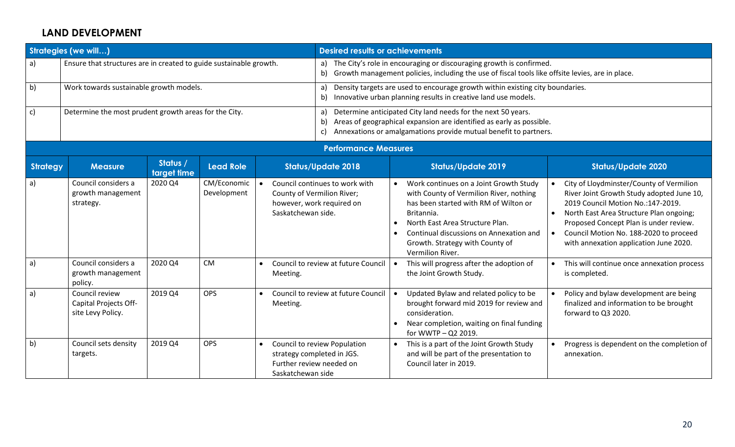### **LAND DEVELOPMENT**

|                 | <b>Strategies (we will)</b>                                        |                         |                            |                    | <b>Desired results or achievements</b>                                                                                                                                                                                     |           |                                                                                                                                                                                                                                                                               |           |                                                                                                                                                                                                                                                                                                      |  |  |
|-----------------|--------------------------------------------------------------------|-------------------------|----------------------------|--------------------|----------------------------------------------------------------------------------------------------------------------------------------------------------------------------------------------------------------------------|-----------|-------------------------------------------------------------------------------------------------------------------------------------------------------------------------------------------------------------------------------------------------------------------------------|-----------|------------------------------------------------------------------------------------------------------------------------------------------------------------------------------------------------------------------------------------------------------------------------------------------------------|--|--|
| a)              | Ensure that structures are in created to guide sustainable growth. |                         |                            |                    | a) The City's role in encouraging or discouraging growth is confirmed.<br>b) Growth management policies, including the use of fiscal tools like offsite levies, are in place.                                              |           |                                                                                                                                                                                                                                                                               |           |                                                                                                                                                                                                                                                                                                      |  |  |
| b)              | Work towards sustainable growth models.                            |                         |                            |                    | Density targets are used to encourage growth within existing city boundaries.<br>a)<br>Innovative urban planning results in creative land use models.<br>b)                                                                |           |                                                                                                                                                                                                                                                                               |           |                                                                                                                                                                                                                                                                                                      |  |  |
| c)              | Determine the most prudent growth areas for the City.              |                         |                            |                    | Determine anticipated City land needs for the next 50 years.<br>a)<br>Areas of geographical expansion are identified as early as possible.<br>b)<br>Annexations or amalgamations provide mutual benefit to partners.<br>c) |           |                                                                                                                                                                                                                                                                               |           |                                                                                                                                                                                                                                                                                                      |  |  |
|                 |                                                                    |                         |                            |                    | <b>Performance Measures</b>                                                                                                                                                                                                |           |                                                                                                                                                                                                                                                                               |           |                                                                                                                                                                                                                                                                                                      |  |  |
| <b>Strategy</b> | <b>Measure</b>                                                     | Status /<br>target time | <b>Lead Role</b>           |                    | <b>Status/Update 2018</b>                                                                                                                                                                                                  |           | <b>Status/Update 2019</b>                                                                                                                                                                                                                                                     |           | <b>Status/Update 2020</b>                                                                                                                                                                                                                                                                            |  |  |
| $\mathsf{a}$    | Council considers a<br>growth management<br>strategy.              | 2020 Q4                 | CM/Economic<br>Development | Saskatchewan side. | Council continues to work with<br>County of Vermilion River;<br>however, work required on                                                                                                                                  | $\bullet$ | Work continues on a Joint Growth Study<br>with County of Vermilion River, nothing<br>has been started with RM of Wilton or<br>Britannia.<br>North East Area Structure Plan.<br>Continual discussions on Annexation and<br>Growth. Strategy with County of<br>Vermilion River. | $\bullet$ | City of Lloydminster/County of Vermilion<br>River Joint Growth Study adopted June 10,<br>2019 Council Motion No.: 147-2019.<br>North East Area Structure Plan ongoing;<br>Proposed Concept Plan is under review.<br>Council Motion No. 188-2020 to proceed<br>with annexation application June 2020. |  |  |
| $\mathsf{a}$    | Council considers a<br>growth management<br>policy.                | 2020 Q4                 | <b>CM</b>                  | Meeting.           | Council to review at future Council                                                                                                                                                                                        | $\bullet$ | This will progress after the adoption of<br>the Joint Growth Study.                                                                                                                                                                                                           |           | This will continue once annexation process<br>is completed.                                                                                                                                                                                                                                          |  |  |
| $\mathsf{a}$    | Council review<br>Capital Projects Off-<br>site Levy Policy.       | 2019 Q4                 | OPS                        | Meeting.           | Council to review at future Council                                                                                                                                                                                        | $\bullet$ | Updated Bylaw and related policy to be<br>brought forward mid 2019 for review and<br>consideration.<br>Near completion, waiting on final funding<br>for WWTP - Q2 2019.                                                                                                       |           | Policy and bylaw development are being<br>finalized and information to be brought<br>forward to Q3 2020.                                                                                                                                                                                             |  |  |
| $\mathsf{b}$    | Council sets density<br>targets.                                   | 2019 Q4                 | <b>OPS</b>                 | Saskatchewan side  | Council to review Population<br>strategy completed in JGS.<br>Further review needed on                                                                                                                                     | $\bullet$ | This is a part of the Joint Growth Study<br>and will be part of the presentation to<br>Council later in 2019.                                                                                                                                                                 |           | Progress is dependent on the completion of<br>annexation.                                                                                                                                                                                                                                            |  |  |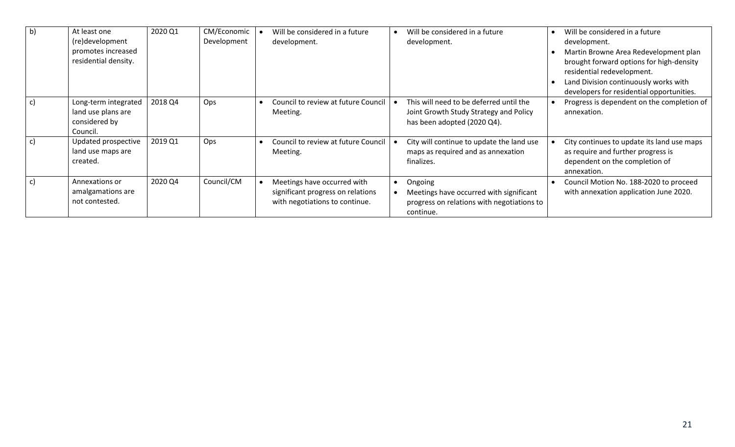| b) | At least one<br>(re)development<br>promotes increased<br>residential density. | 2020 Q1 | CM/Economic<br>Development | Will be considered in a future<br>development.                                                     | Will be considered in a future<br>development.                                                                   | Will be considered in a future<br>development.<br>Martin Browne Area Redevelopment plan<br>brought forward options for high-density<br>residential redevelopment.<br>Land Division continuously works with<br>developers for residential opportunities. |
|----|-------------------------------------------------------------------------------|---------|----------------------------|----------------------------------------------------------------------------------------------------|------------------------------------------------------------------------------------------------------------------|---------------------------------------------------------------------------------------------------------------------------------------------------------------------------------------------------------------------------------------------------------|
| C) | Long-term integrated<br>land use plans are<br>considered by<br>Council.       | 2018 Q4 | Ops                        | Council to review at future Council<br>Meeting.                                                    | This will need to be deferred until the<br>Joint Growth Study Strategy and Policy<br>has been adopted (2020 Q4). | Progress is dependent on the completion of<br>annexation.                                                                                                                                                                                               |
|    | Updated prospective<br>land use maps are<br>created.                          | 2019 Q1 | Ops                        | Council to review at future Council<br>Meeting.                                                    | City will continue to update the land use<br>maps as required and as annexation<br>finalizes.                    | City continues to update its land use maps<br>as require and further progress is<br>dependent on the completion of<br>annexation.                                                                                                                       |
| c) | Annexations or<br>amalgamations are<br>not contested.                         | 2020 Q4 | Council/CM                 | Meetings have occurred with<br>significant progress on relations<br>with negotiations to continue. | Ongoing<br>Meetings have occurred with significant<br>progress on relations with negotiations to<br>continue.    | Council Motion No. 188-2020 to proceed<br>with annexation application June 2020.                                                                                                                                                                        |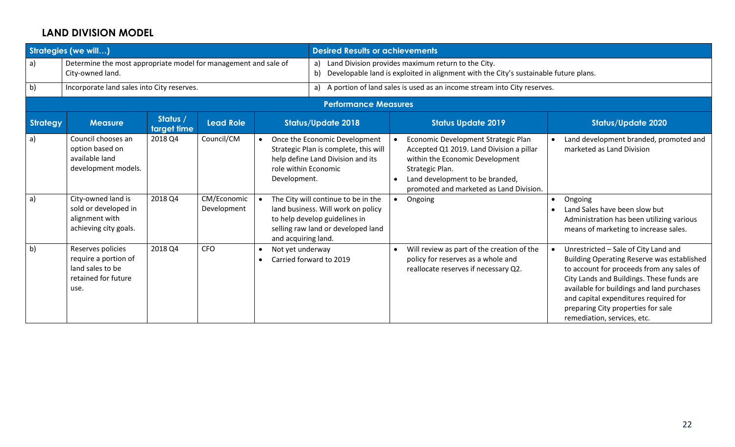## **LAND DIVISION MODEL**

|                 | <b>Strategies (we will)</b>                                                                  |                         |                            |                                                   | <b>Desired Results or achievements</b>                                                                                                           |                                                                                                                                               |                                                                                                                                                                                                                     |           |                                                                                                                                                                                                                                                                                                                                                 |  |  |  |
|-----------------|----------------------------------------------------------------------------------------------|-------------------------|----------------------------|---------------------------------------------------|--------------------------------------------------------------------------------------------------------------------------------------------------|-----------------------------------------------------------------------------------------------------------------------------------------------|---------------------------------------------------------------------------------------------------------------------------------------------------------------------------------------------------------------------|-----------|-------------------------------------------------------------------------------------------------------------------------------------------------------------------------------------------------------------------------------------------------------------------------------------------------------------------------------------------------|--|--|--|
| a)              | Determine the most appropriate model for management and sale of<br>City-owned land.          |                         |                            |                                                   | b)                                                                                                                                               | a) Land Division provides maximum return to the City.<br>Developable land is exploited in alignment with the City's sustainable future plans. |                                                                                                                                                                                                                     |           |                                                                                                                                                                                                                                                                                                                                                 |  |  |  |
| b)              | Incorporate land sales into City reserves.                                                   |                         |                            |                                                   |                                                                                                                                                  |                                                                                                                                               | a) A portion of land sales is used as an income stream into City reserves.                                                                                                                                          |           |                                                                                                                                                                                                                                                                                                                                                 |  |  |  |
|                 |                                                                                              |                         |                            |                                                   | <b>Performance Measures</b>                                                                                                                      |                                                                                                                                               |                                                                                                                                                                                                                     |           |                                                                                                                                                                                                                                                                                                                                                 |  |  |  |
| <b>Strategy</b> | <b>Measure</b>                                                                               | Status /<br>target time | <b>Lead Role</b>           |                                                   | <b>Status/Update 2018</b>                                                                                                                        |                                                                                                                                               | <b>Status Update 2019</b>                                                                                                                                                                                           |           | <b>Status/Update 2020</b>                                                                                                                                                                                                                                                                                                                       |  |  |  |
| a)              | Council chooses an<br>option based on<br>available land<br>development models.               | 2018 Q4                 | Council/CM                 | $\bullet$<br>role within Economic<br>Development. | Once the Economic Development<br>Strategic Plan is complete, this will<br>help define Land Division and its                                      | $\bullet$                                                                                                                                     | Economic Development Strategic Plan<br>Accepted Q1 2019. Land Division a pillar<br>within the Economic Development<br>Strategic Plan.<br>Land development to be branded,<br>promoted and marketed as Land Division. |           | Land development branded, promoted and<br>marketed as Land Division                                                                                                                                                                                                                                                                             |  |  |  |
| a)              | City-owned land is<br>sold or developed in<br>alignment with<br>achieving city goals.        | 2018 Q4                 | CM/Economic<br>Development | and acquiring land.                               | The City will continue to be in the<br>land business. Will work on policy<br>to help develop guidelines in<br>selling raw land or developed land | $\bullet$                                                                                                                                     | Ongoing                                                                                                                                                                                                             | $\bullet$ | Ongoing<br>Land Sales have been slow but<br>Administration has been utilizing various<br>means of marketing to increase sales.                                                                                                                                                                                                                  |  |  |  |
| $\mathsf{b}$    | Reserves policies<br>require a portion of<br>land sales to be<br>retained for future<br>use. | 2018 Q4                 | <b>CFO</b>                 | Not yet underway<br>$\bullet$<br>$\bullet$        | Carried forward to 2019                                                                                                                          | $\bullet$                                                                                                                                     | Will review as part of the creation of the<br>policy for reserves as a whole and<br>reallocate reserves if necessary Q2.                                                                                            |           | Unrestricted - Sale of City Land and<br><b>Building Operating Reserve was established</b><br>to account for proceeds from any sales of<br>City Lands and Buildings. These funds are<br>available for buildings and land purchases<br>and capital expenditures required for<br>preparing City properties for sale<br>remediation, services, etc. |  |  |  |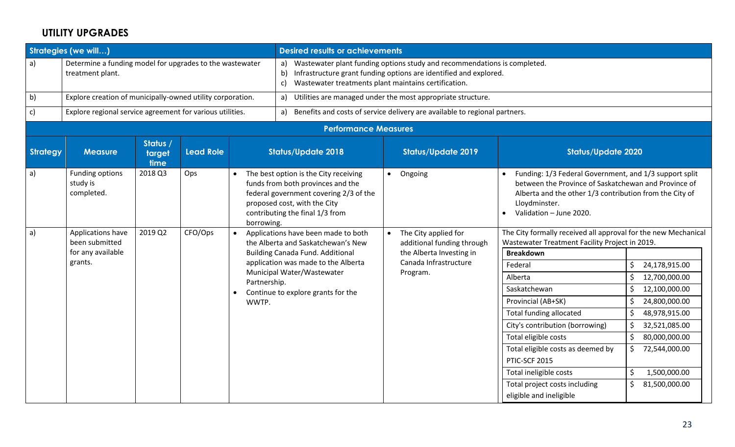# **UTILITY UPGRADES**

|                 | Strategies (we will)                                                         |                            |                  |              | <b>Desired results or achievements</b>                                                                                                                                                  |           |                                                                            |                                                                                                                                                                                                                       |                     |
|-----------------|------------------------------------------------------------------------------|----------------------------|------------------|--------------|-----------------------------------------------------------------------------------------------------------------------------------------------------------------------------------------|-----------|----------------------------------------------------------------------------|-----------------------------------------------------------------------------------------------------------------------------------------------------------------------------------------------------------------------|---------------------|
| a)              | Determine a funding model for upgrades to the wastewater<br>treatment plant. |                            |                  |              | a) Wastewater plant funding options study and recommendations is completed.<br>b)<br>Wastewater treatments plant maintains certification.<br>c)                                         |           | Infrastructure grant funding options are identified and explored.          |                                                                                                                                                                                                                       |                     |
| b)              | Explore creation of municipally-owned utility corporation.                   |                            |                  |              | a) Utilities are managed under the most appropriate structure.                                                                                                                          |           |                                                                            |                                                                                                                                                                                                                       |                     |
| c)              | Explore regional service agreement for various utilities.                    |                            |                  |              | a)                                                                                                                                                                                      |           | Benefits and costs of service delivery are available to regional partners. |                                                                                                                                                                                                                       |                     |
|                 |                                                                              |                            |                  |              | <b>Performance Measures</b>                                                                                                                                                             |           |                                                                            |                                                                                                                                                                                                                       |                     |
| <b>Strategy</b> | <b>Measure</b>                                                               | Status /<br>target<br>time | <b>Lead Role</b> |              | <b>Status/Update 2018</b>                                                                                                                                                               |           | <b>Status/Update 2019</b>                                                  | <b>Status/Update 2020</b>                                                                                                                                                                                             |                     |
| a)              | Funding options<br>study is<br>completed.                                    | 2018 Q3                    | Ops              | borrowing.   | The best option is the City receiving<br>funds from both provinces and the<br>federal government covering 2/3 of the<br>proposed cost, with the City<br>contributing the final 1/3 from | $\bullet$ | Ongoing                                                                    | Funding: 1/3 Federal Government, and 1/3 support split<br>between the Province of Saskatchewan and Province of<br>Alberta and the other 1/3 contribution from the City of<br>Lloydminster.<br>Validation - June 2020. |                     |
| a)              | Applications have<br>been submitted                                          | 2019 Q2                    | CFO/Ops          |              | Applications have been made to both<br>the Alberta and Saskatchewan's New                                                                                                               |           | The City applied for<br>additional funding through                         | The City formally received all approval for the new Mechanical<br>Wastewater Treatment Facility Project in 2019.                                                                                                      |                     |
|                 | for any available                                                            |                            |                  |              | <b>Building Canada Fund. Additional</b>                                                                                                                                                 |           | the Alberta Investing in                                                   | <b>Breakdown</b>                                                                                                                                                                                                      |                     |
|                 | grants.                                                                      |                            |                  |              | application was made to the Alberta                                                                                                                                                     |           | Canada Infrastructure                                                      | Federal                                                                                                                                                                                                               | 24,178,915.00<br>\$ |
|                 |                                                                              |                            |                  | Partnership. | Municipal Water/Wastewater                                                                                                                                                              |           | Program.                                                                   | Alberta                                                                                                                                                                                                               | 12,700,000.00<br>\$ |
|                 |                                                                              |                            |                  |              | Continue to explore grants for the                                                                                                                                                      |           |                                                                            | Saskatchewan                                                                                                                                                                                                          | 12,100,000.00<br>\$ |
|                 |                                                                              |                            |                  | WWTP.        |                                                                                                                                                                                         |           |                                                                            | Provincial (AB+SK)                                                                                                                                                                                                    | 24,800,000.00<br>\$ |
|                 |                                                                              |                            |                  |              |                                                                                                                                                                                         |           |                                                                            | <b>Total funding allocated</b>                                                                                                                                                                                        | 48,978,915.00<br>\$ |
|                 |                                                                              |                            |                  |              |                                                                                                                                                                                         |           |                                                                            | City's contribution (borrowing)                                                                                                                                                                                       | 32,521,085.00<br>\$ |
|                 |                                                                              |                            |                  |              |                                                                                                                                                                                         |           |                                                                            | Total eligible costs                                                                                                                                                                                                  | 80,000,000.00<br>\$ |
|                 |                                                                              |                            |                  |              |                                                                                                                                                                                         |           |                                                                            | Total eligible costs as deemed by                                                                                                                                                                                     | \$<br>72,544,000.00 |
|                 |                                                                              |                            |                  |              |                                                                                                                                                                                         |           |                                                                            | PTIC-SCF 2015                                                                                                                                                                                                         |                     |
|                 |                                                                              |                            |                  |              |                                                                                                                                                                                         |           |                                                                            | Total ineligible costs                                                                                                                                                                                                | \$<br>1,500,000.00  |
|                 |                                                                              |                            |                  |              |                                                                                                                                                                                         |           |                                                                            | Total project costs including                                                                                                                                                                                         | 81,500,000.00<br>\$ |
|                 |                                                                              |                            |                  |              |                                                                                                                                                                                         |           |                                                                            | eligible and ineligible                                                                                                                                                                                               |                     |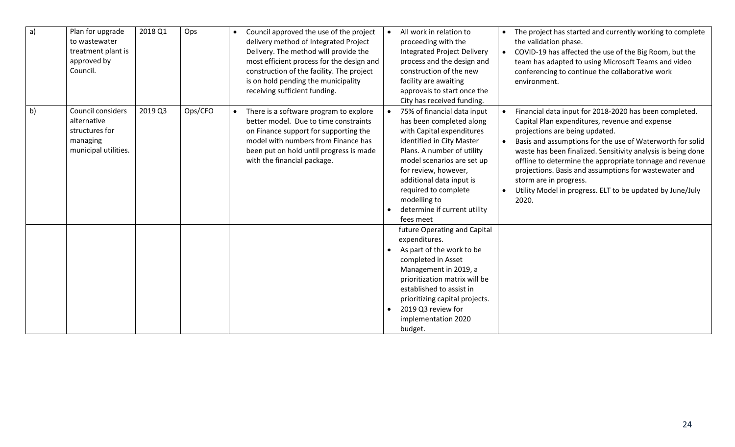| a) | Plan for upgrade<br>to wastewater<br>treatment plant is<br>approved by<br>Council.     | 2018 Q1 | Ops     | Council approved the use of the project<br>delivery method of Integrated Project<br>Delivery. The method will provide the<br>most efficient process for the design and<br>construction of the facility. The project<br>is on hold pending the municipality<br>receiving sufficient funding. |                        | All work in relation to<br>proceeding with the<br><b>Integrated Project Delivery</b><br>process and the design and<br>construction of the new<br>facility are awaiting<br>approvals to start once the<br>City has received funding.                                                                                    | $\bullet$              | The project has started and currently working to complete<br>the validation phase.<br>COVID-19 has affected the use of the Big Room, but the<br>team has adapted to using Microsoft Teams and video<br>conferencing to continue the collaborative work<br>environment.                                                                                                                                                                                                                       |
|----|----------------------------------------------------------------------------------------|---------|---------|---------------------------------------------------------------------------------------------------------------------------------------------------------------------------------------------------------------------------------------------------------------------------------------------|------------------------|------------------------------------------------------------------------------------------------------------------------------------------------------------------------------------------------------------------------------------------------------------------------------------------------------------------------|------------------------|----------------------------------------------------------------------------------------------------------------------------------------------------------------------------------------------------------------------------------------------------------------------------------------------------------------------------------------------------------------------------------------------------------------------------------------------------------------------------------------------|
| b) | Council considers<br>alternative<br>structures for<br>managing<br>municipal utilities. | 2019 Q3 | Ops/CFO | There is a software program to explore<br>better model. Due to time constraints<br>on Finance support for supporting the<br>model with numbers from Finance has<br>been put on hold until progress is made<br>with the financial package.                                                   |                        | 75% of financial data input<br>has been completed along<br>with Capital expenditures<br>identified in City Master<br>Plans. A number of utility<br>model scenarios are set up<br>for review, however,<br>additional data input is<br>required to complete<br>modelling to<br>determine if current utility<br>fees meet | $\bullet$<br>$\bullet$ | Financial data input for 2018-2020 has been completed.<br>Capital Plan expenditures, revenue and expense<br>projections are being updated.<br>Basis and assumptions for the use of Waterworth for solid<br>waste has been finalized. Sensitivity analysis is being done<br>offline to determine the appropriate tonnage and revenue<br>projections. Basis and assumptions for wastewater and<br>storm are in progress.<br>Utility Model in progress. ELT to be updated by June/July<br>2020. |
|    |                                                                                        |         |         |                                                                                                                                                                                                                                                                                             | $\bullet$<br>$\bullet$ | future Operating and Capital<br>expenditures.<br>As part of the work to be<br>completed in Asset<br>Management in 2019, a<br>prioritization matrix will be<br>established to assist in<br>prioritizing capital projects.<br>2019 Q3 review for<br>implementation 2020<br>budget.                                       |                        |                                                                                                                                                                                                                                                                                                                                                                                                                                                                                              |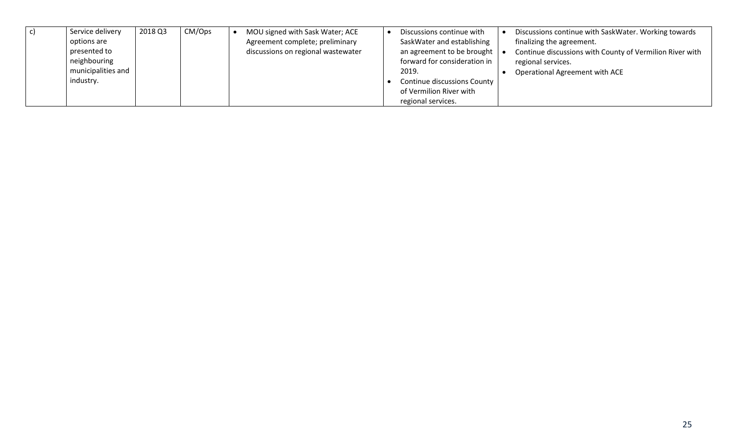| Service delivery   | 2018 Q3 | CM/Ops | MOU signed with Sask Water; ACE    | Discussions continue with SaskWater. Working towards<br>Discussions continue with      |
|--------------------|---------|--------|------------------------------------|----------------------------------------------------------------------------------------|
| options are        |         |        | Agreement complete; preliminary    | SaskWater and establishing<br>finalizing the agreement.                                |
| presented to       |         |        | discussions on regional wastewater | an agreement to be brought<br>Continue discussions with County of Vermilion River with |
| neighbouring       |         |        |                                    | forward for consideration in<br>regional services.                                     |
| municipalities and |         |        |                                    | 2019.<br>Operational Agreement with ACE                                                |
| industry.          |         |        |                                    | Continue discussions County                                                            |
|                    |         |        |                                    | of Vermilion River with                                                                |
|                    |         |        |                                    | regional services.                                                                     |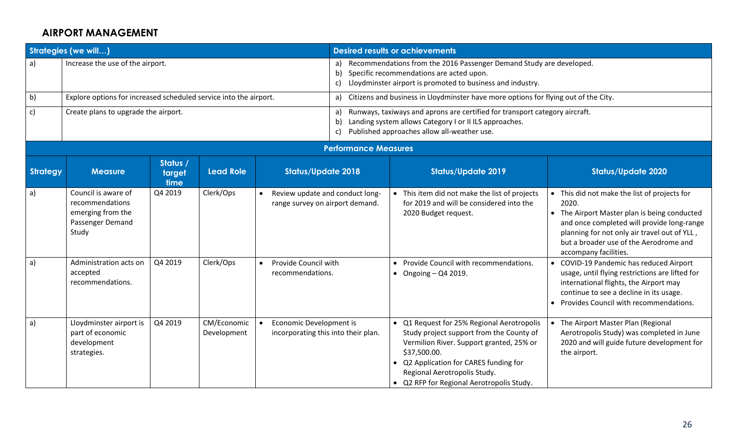#### **AIRPORT MANAGEMENT**

|          | <b>Strategies (we will)</b>                                                              |                            |                            |  |                                                                    |                                                                                                                                                                                      | <b>Desired results or achievements</b>                                                                                                                                                                                                                                  |                                                                                                                                                                                                                                                                    |  |  |  |
|----------|------------------------------------------------------------------------------------------|----------------------------|----------------------------|--|--------------------------------------------------------------------|--------------------------------------------------------------------------------------------------------------------------------------------------------------------------------------|-------------------------------------------------------------------------------------------------------------------------------------------------------------------------------------------------------------------------------------------------------------------------|--------------------------------------------------------------------------------------------------------------------------------------------------------------------------------------------------------------------------------------------------------------------|--|--|--|
| a)       | Increase the use of the airport.                                                         |                            |                            |  | a)<br>b)<br>C)                                                     | Recommendations from the 2016 Passenger Demand Study are developed.<br>Specific recommendations are acted upon.<br>Lloydminster airport is promoted to business and industry.        |                                                                                                                                                                                                                                                                         |                                                                                                                                                                                                                                                                    |  |  |  |
| b)       | Explore options for increased scheduled service into the airport.                        |                            |                            |  | a)                                                                 |                                                                                                                                                                                      | Citizens and business in Lloydminster have more options for flying out of the City.                                                                                                                                                                                     |                                                                                                                                                                                                                                                                    |  |  |  |
| c)       | Create plans to upgrade the airport.                                                     |                            |                            |  | a)<br>b)<br>c)                                                     | Runways, taxiways and aprons are certified for transport category aircraft.<br>Landing system allows Category I or II ILS approaches.<br>Published approaches allow all-weather use. |                                                                                                                                                                                                                                                                         |                                                                                                                                                                                                                                                                    |  |  |  |
|          |                                                                                          |                            |                            |  | <b>Performance Measures</b>                                        |                                                                                                                                                                                      |                                                                                                                                                                                                                                                                         |                                                                                                                                                                                                                                                                    |  |  |  |
| Strategy | <b>Measure</b>                                                                           | Status /<br>target<br>time | <b>Lead Role</b>           |  | <b>Status/Update 2018</b>                                          |                                                                                                                                                                                      | <b>Status/Update 2019</b>                                                                                                                                                                                                                                               | <b>Status/Update 2020</b>                                                                                                                                                                                                                                          |  |  |  |
| a)       | Council is aware of<br>recommendations<br>emerging from the<br>Passenger Demand<br>Study | Q4 2019                    | Clerk/Ops                  |  | Review update and conduct long-<br>range survey on airport demand. |                                                                                                                                                                                      | • This item did not make the list of projects<br>for 2019 and will be considered into the<br>2020 Budget request.                                                                                                                                                       | This did not make the list of projects for<br>2020.<br>The Airport Master plan is being conducted<br>and once completed will provide long-range<br>planning for not only air travel out of YLL,<br>but a broader use of the Aerodrome and<br>accompany facilities. |  |  |  |
| a)       | Administration acts on<br>accepted<br>recommendations.                                   | Q4 2019                    | Clerk/Ops                  |  | Provide Council with<br>recommendations.                           |                                                                                                                                                                                      | • Provide Council with recommendations.<br>• Ongoing $-$ Q4 2019.                                                                                                                                                                                                       | COVID-19 Pandemic has reduced Airport<br>usage, until flying restrictions are lifted for<br>international flights, the Airport may<br>continue to see a decline in its usage.<br>Provides Council with recommendations.                                            |  |  |  |
| a)       | Lloydminster airport is<br>part of economic<br>development<br>strategies.                | Q4 2019                    | CM/Economic<br>Development |  | Economic Development is<br>incorporating this into their plan.     |                                                                                                                                                                                      | • Q1 Request for 25% Regional Aerotropolis<br>Study project support from the County of<br>Vermilion River. Support granted, 25% or<br>\$37,500.00.<br>Q2 Application for CARES funding for<br>Regional Aerotropolis Study.<br>• Q2 RFP for Regional Aerotropolis Study. | The Airport Master Plan (Regional<br>Aerotropolis Study) was completed in June<br>2020 and will guide future development for<br>the airport.                                                                                                                       |  |  |  |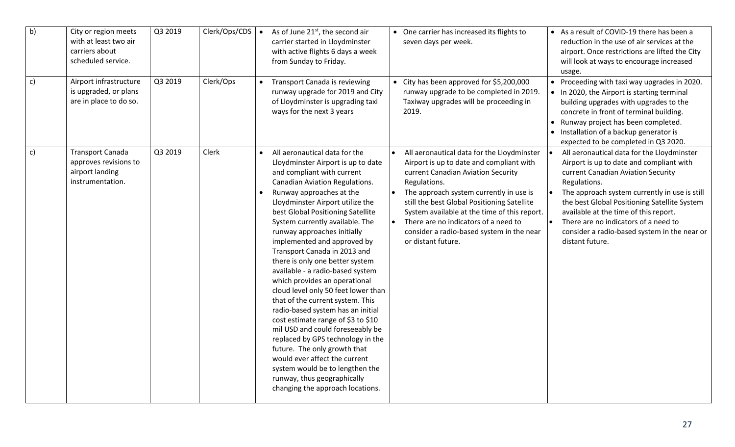| $\overline{b}$ | City or region meets<br>with at least two air<br>carriers about<br>scheduled service. | Q3 2019 | Clerk/Ops/CDS | $\bullet$ | As of June 21 <sup>st</sup> , the second air<br>carrier started in Lloydminster<br>with active flights 6 days a week<br>from Sunday to Friday.                                                                                                                                                                                                                                                                                                                                                                                                                                                                                                                                                                                                                                                                                                                                          | • One carrier has increased its flights to<br>seven days per week.                                                                                                                                                                                                                                                                                                                                | • As a result of COVID-19 there has been a<br>reduction in the use of air services at the<br>airport. Once restrictions are lifted the City<br>will look at ways to encourage increased<br>usage.                                                                                                                                                                                                 |
|----------------|---------------------------------------------------------------------------------------|---------|---------------|-----------|-----------------------------------------------------------------------------------------------------------------------------------------------------------------------------------------------------------------------------------------------------------------------------------------------------------------------------------------------------------------------------------------------------------------------------------------------------------------------------------------------------------------------------------------------------------------------------------------------------------------------------------------------------------------------------------------------------------------------------------------------------------------------------------------------------------------------------------------------------------------------------------------|---------------------------------------------------------------------------------------------------------------------------------------------------------------------------------------------------------------------------------------------------------------------------------------------------------------------------------------------------------------------------------------------------|---------------------------------------------------------------------------------------------------------------------------------------------------------------------------------------------------------------------------------------------------------------------------------------------------------------------------------------------------------------------------------------------------|
| c)             | Airport infrastructure<br>is upgraded, or plans<br>are in place to do so.             | Q3 2019 | Clerk/Ops     |           | Transport Canada is reviewing<br>runway upgrade for 2019 and City<br>of Lloydminster is upgrading taxi<br>ways for the next 3 years                                                                                                                                                                                                                                                                                                                                                                                                                                                                                                                                                                                                                                                                                                                                                     | • City has been approved for \$5,200,000<br>runway upgrade to be completed in 2019.<br>Taxiway upgrades will be proceeding in<br>2019.                                                                                                                                                                                                                                                            | • Proceeding with taxi way upgrades in 2020.<br>• In 2020, the Airport is starting terminal<br>building upgrades with upgrades to the<br>concrete in front of terminal building.<br>• Runway project has been completed.<br>• Installation of a backup generator is<br>expected to be completed in Q3 2020.                                                                                       |
| $\mathsf{c})$  | Transport Canada<br>approves revisions to<br>airport landing<br>instrumentation.      | Q3 2019 | Clerk         |           | All aeronautical data for the<br>Lloydminster Airport is up to date<br>and compliant with current<br>Canadian Aviation Regulations.<br>Runway approaches at the<br>Lloydminster Airport utilize the<br>best Global Positioning Satellite<br>System currently available. The<br>runway approaches initially<br>implemented and approved by<br>Transport Canada in 2013 and<br>there is only one better system<br>available - a radio-based system<br>which provides an operational<br>cloud level only 50 feet lower than<br>that of the current system. This<br>radio-based system has an initial<br>cost estimate range of \$3 to \$10<br>mil USD and could foreseeably be<br>replaced by GPS technology in the<br>future. The only growth that<br>would ever affect the current<br>system would be to lengthen the<br>runway, thus geographically<br>changing the approach locations. | All aeronautical data for the Lloydminster<br>Airport is up to date and compliant with<br>current Canadian Aviation Security<br>Regulations.<br>The approach system currently in use is<br>still the best Global Positioning Satellite<br>System available at the time of this report.<br>There are no indicators of a need to<br>consider a radio-based system in the near<br>or distant future. | All aeronautical data for the Lloydminster<br>Airport is up to date and compliant with<br>current Canadian Aviation Security<br>Regulations.<br>The approach system currently in use is still<br>the best Global Positioning Satellite System<br>available at the time of this report.<br>There are no indicators of a need to<br>consider a radio-based system in the near or<br>distant future. |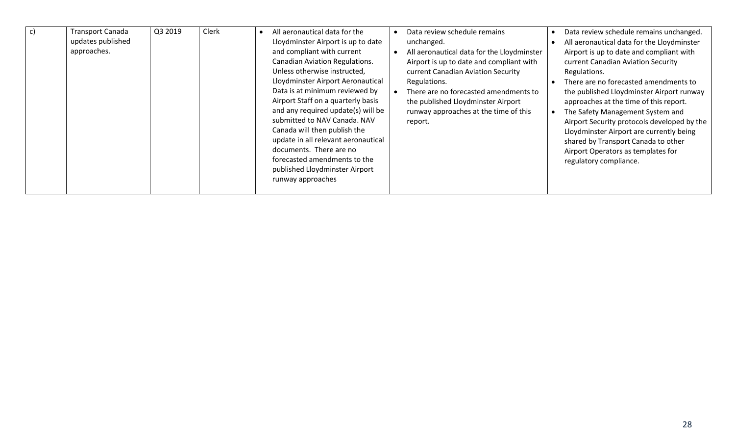| $\mathsf{C}$ | <b>Fransport Canada</b><br>updates published<br>approaches. | Q3 2019 | Clerk | All aeronautical data for the<br>Lloydminster Airport is up to date<br>and compliant with current<br><b>Canadian Aviation Regulations.</b><br>Unless otherwise instructed,<br>Lloydminster Airport Aeronautical<br>Data is at minimum reviewed by<br>Airport Staff on a quarterly basis<br>and any required update(s) will be<br>submitted to NAV Canada. NAV<br>Canada will then publish the<br>update in all relevant aeronautical<br>documents. There are no<br>forecasted amendments to the<br>published Lloydminster Airport<br>runway approaches | $\bullet$ | Data review schedule remains<br>unchanged.<br>All aeronautical data for the Lloydminster<br>Airport is up to date and compliant with<br>current Canadian Aviation Security<br>Regulations.<br>There are no forecasted amendments to<br>the published Lloydminster Airport<br>runway approaches at the time of this<br>report. | Data review schedule remains unchanged.<br>All aeronautical data for the Lloydminster<br>Airport is up to date and compliant with<br>current Canadian Aviation Security<br>Regulations.<br>There are no forecasted amendments to<br>the published Lloydminster Airport runway<br>approaches at the time of this report.<br>The Safety Management System and<br>Airport Security protocols developed by the<br>Lloydminster Airport are currently being<br>shared by Transport Canada to other<br>Airport Operators as templates for<br>regulatory compliance. |
|--------------|-------------------------------------------------------------|---------|-------|--------------------------------------------------------------------------------------------------------------------------------------------------------------------------------------------------------------------------------------------------------------------------------------------------------------------------------------------------------------------------------------------------------------------------------------------------------------------------------------------------------------------------------------------------------|-----------|-------------------------------------------------------------------------------------------------------------------------------------------------------------------------------------------------------------------------------------------------------------------------------------------------------------------------------|---------------------------------------------------------------------------------------------------------------------------------------------------------------------------------------------------------------------------------------------------------------------------------------------------------------------------------------------------------------------------------------------------------------------------------------------------------------------------------------------------------------------------------------------------------------|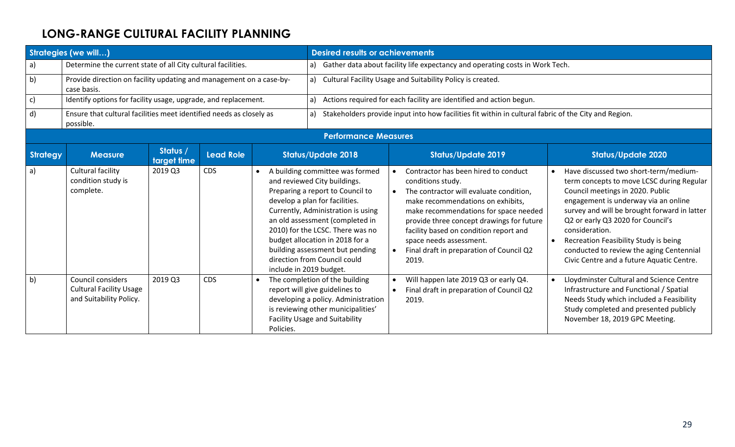# **LONG-RANGE CULTURAL FACILITY PLANNING**

| <b>Strategies (we will)</b> |                                                                                    |                         |                  |           | <b>Desired results or achievements</b>                                                                                                                                                                                                                                                                                                                                              |                                                            |                                                                                                                                                                                                                                                                                                                                                           |  |                                                                                                                                                                                                                                                                                                                                                                                                         |  |  |
|-----------------------------|------------------------------------------------------------------------------------|-------------------------|------------------|-----------|-------------------------------------------------------------------------------------------------------------------------------------------------------------------------------------------------------------------------------------------------------------------------------------------------------------------------------------------------------------------------------------|------------------------------------------------------------|-----------------------------------------------------------------------------------------------------------------------------------------------------------------------------------------------------------------------------------------------------------------------------------------------------------------------------------------------------------|--|---------------------------------------------------------------------------------------------------------------------------------------------------------------------------------------------------------------------------------------------------------------------------------------------------------------------------------------------------------------------------------------------------------|--|--|
| a)                          | Determine the current state of all City cultural facilities.                       |                         |                  |           | a)                                                                                                                                                                                                                                                                                                                                                                                  |                                                            | Gather data about facility life expectancy and operating costs in Work Tech.                                                                                                                                                                                                                                                                              |  |                                                                                                                                                                                                                                                                                                                                                                                                         |  |  |
| b)                          | Provide direction on facility updating and management on a case-by-<br>case basis. |                         |                  |           | a)                                                                                                                                                                                                                                                                                                                                                                                  | Cultural Facility Usage and Suitability Policy is created. |                                                                                                                                                                                                                                                                                                                                                           |  |                                                                                                                                                                                                                                                                                                                                                                                                         |  |  |
| $\mathsf{c})$               | Identify options for facility usage, upgrade, and replacement.                     |                         |                  |           | a)                                                                                                                                                                                                                                                                                                                                                                                  |                                                            | Actions required for each facility are identified and action begun.                                                                                                                                                                                                                                                                                       |  |                                                                                                                                                                                                                                                                                                                                                                                                         |  |  |
| d)                          | Ensure that cultural facilities meet identified needs as closely as<br>possible.   |                         |                  |           | a)                                                                                                                                                                                                                                                                                                                                                                                  |                                                            | Stakeholders provide input into how facilities fit within in cultural fabric of the City and Region.                                                                                                                                                                                                                                                      |  |                                                                                                                                                                                                                                                                                                                                                                                                         |  |  |
|                             |                                                                                    |                         |                  |           | <b>Performance Measures</b>                                                                                                                                                                                                                                                                                                                                                         |                                                            |                                                                                                                                                                                                                                                                                                                                                           |  |                                                                                                                                                                                                                                                                                                                                                                                                         |  |  |
| <b>Strategy</b>             | <b>Measure</b>                                                                     | Status /<br>target time | <b>Lead Role</b> |           | <b>Status/Update 2018</b>                                                                                                                                                                                                                                                                                                                                                           |                                                            | <b>Status/Update 2019</b>                                                                                                                                                                                                                                                                                                                                 |  | <b>Status/Update 2020</b>                                                                                                                                                                                                                                                                                                                                                                               |  |  |
| a)                          | Cultural facility<br>condition study is<br>complete.                               | 2019 Q3                 | <b>CDS</b>       | $\bullet$ | A building committee was formed<br>and reviewed City buildings.<br>Preparing a report to Council to<br>develop a plan for facilities.<br>Currently, Administration is using<br>an old assessment (completed in<br>2010) for the LCSC. There was no<br>budget allocation in 2018 for a<br>building assessment but pending<br>direction from Council could<br>include in 2019 budget. | $\bullet$<br>$\bullet$<br>$\bullet$                        | Contractor has been hired to conduct<br>conditions study.<br>The contractor will evaluate condition,<br>make recommendations on exhibits,<br>make recommendations for space needed<br>provide three concept drawings for future<br>facility based on condition report and<br>space needs assessment.<br>Final draft in preparation of Council Q2<br>2019. |  | Have discussed two short-term/medium-<br>term concepts to move LCSC during Regular<br>Council meetings in 2020. Public<br>engagement is underway via an online<br>survey and will be brought forward in latter<br>Q2 or early Q3 2020 for Council's<br>consideration.<br>Recreation Feasibility Study is being<br>conducted to review the aging Centennial<br>Civic Centre and a future Aquatic Centre. |  |  |
| b)                          | Council considers<br><b>Cultural Facility Usage</b><br>and Suitability Policy.     | 2019 Q3                 | <b>CDS</b>       | Policies. | The completion of the building<br>report will give guidelines to<br>developing a policy. Administration<br>is reviewing other municipalities'<br><b>Facility Usage and Suitability</b>                                                                                                                                                                                              | $\bullet$<br>$\bullet$                                     | Will happen late 2019 Q3 or early Q4.<br>Final draft in preparation of Council Q2<br>2019.                                                                                                                                                                                                                                                                |  | Lloydminster Cultural and Science Centre<br>Infrastructure and Functional / Spatial<br>Needs Study which included a Feasibility<br>Study completed and presented publicly<br>November 18, 2019 GPC Meeting.                                                                                                                                                                                             |  |  |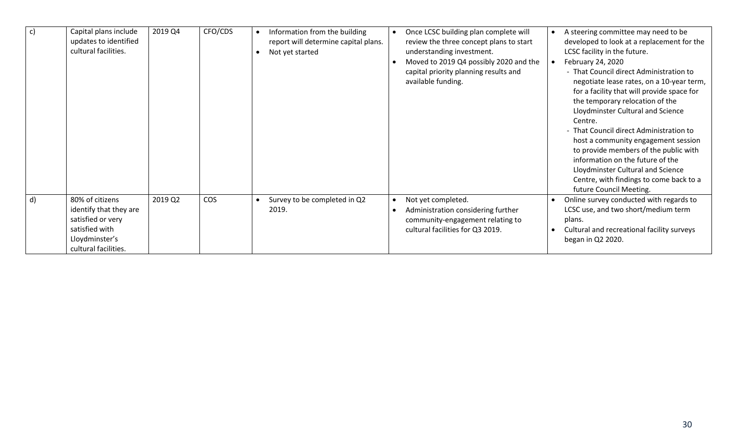| $\mathsf{c}$ | Capital plans include<br>updates to identified<br>cultural facilities.                                                     | 2019 Q4 | CFO/CDS    | Information from the building<br>report will determine capital plans.<br>Not yet started | Once LCSC building plan complete will<br>review the three concept plans to start<br>understanding investment.<br>Moved to 2019 Q4 possibly 2020 and the<br>capital priority planning results and<br>available funding. | A steering committee may need to be<br>developed to look at a replacement for the<br>LCSC facility in the future.<br>February 24, 2020<br>- That Council direct Administration to<br>negotiate lease rates, on a 10-year term,<br>for a facility that will provide space for<br>the temporary relocation of the<br>Lloydminster Cultural and Science<br>Centre.<br>- That Council direct Administration to<br>host a community engagement session<br>to provide members of the public with<br>information on the future of the<br>Lloydminster Cultural and Science<br>Centre, with findings to come back to a<br>future Council Meeting. |
|--------------|----------------------------------------------------------------------------------------------------------------------------|---------|------------|------------------------------------------------------------------------------------------|------------------------------------------------------------------------------------------------------------------------------------------------------------------------------------------------------------------------|-------------------------------------------------------------------------------------------------------------------------------------------------------------------------------------------------------------------------------------------------------------------------------------------------------------------------------------------------------------------------------------------------------------------------------------------------------------------------------------------------------------------------------------------------------------------------------------------------------------------------------------------|
| d)           | 80% of citizens<br>identify that they are<br>satisfied or very<br>satisfied with<br>Lloydminster's<br>cultural facilities. | 2019 Q2 | <b>COS</b> | Survey to be completed in Q2<br>2019.                                                    | Not yet completed.<br>Administration considering further<br>community-engagement relating to<br>cultural facilities for Q3 2019.                                                                                       | Online survey conducted with regards to<br>LCSC use, and two short/medium term<br>plans.<br>Cultural and recreational facility surveys<br>began in Q2 2020.                                                                                                                                                                                                                                                                                                                                                                                                                                                                               |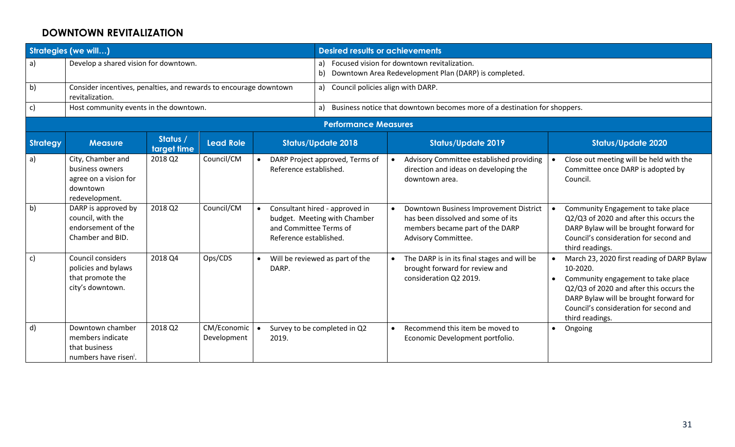#### **DOWNTOWN REVITALIZATION**

|                 | <b>Strategies (we will)</b>                                                                 |                         |                              |                                                  | <b>Desired results or achievements</b>                         |                                                                                                         |                                                                                                                                        |           |                                                                                                                                                                                                                                                |  |  |
|-----------------|---------------------------------------------------------------------------------------------|-------------------------|------------------------------|--------------------------------------------------|----------------------------------------------------------------|---------------------------------------------------------------------------------------------------------|----------------------------------------------------------------------------------------------------------------------------------------|-----------|------------------------------------------------------------------------------------------------------------------------------------------------------------------------------------------------------------------------------------------------|--|--|
| a)              | Develop a shared vision for downtown.                                                       |                         |                              |                                                  | b)                                                             | a) Focused vision for downtown revitalization.<br>Downtown Area Redevelopment Plan (DARP) is completed. |                                                                                                                                        |           |                                                                                                                                                                                                                                                |  |  |
| b)              | Consider incentives, penalties, and rewards to encourage downtown<br>revitalization.        |                         |                              |                                                  | a)                                                             | Council policies align with DARP.                                                                       |                                                                                                                                        |           |                                                                                                                                                                                                                                                |  |  |
| $\mathsf{c}$    | Host community events in the downtown.                                                      |                         |                              |                                                  | a)                                                             |                                                                                                         | Business notice that downtown becomes more of a destination for shoppers.                                                              |           |                                                                                                                                                                                                                                                |  |  |
|                 |                                                                                             |                         |                              |                                                  | <b>Performance Measures</b>                                    |                                                                                                         |                                                                                                                                        |           |                                                                                                                                                                                                                                                |  |  |
| <b>Strategy</b> | <b>Measure</b>                                                                              | Status /<br>target time | <b>Lead Role</b>             |                                                  | <b>Status/Update 2018</b>                                      |                                                                                                         | <b>Status/Update 2019</b>                                                                                                              |           | <b>Status/Update 2020</b>                                                                                                                                                                                                                      |  |  |
| a)              | City, Chamber and<br>business owners<br>agree on a vision for<br>downtown<br>redevelopment. | 2018 Q2                 | Council/CM                   | $\bullet$<br>Reference established.              | DARP Project approved, Terms of                                | $\bullet$                                                                                               | Advisory Committee established providing<br>direction and ideas on developing the<br>downtown area.                                    |           | Close out meeting will be held with the<br>Committee once DARP is adopted by<br>Council.                                                                                                                                                       |  |  |
| b)              | DARP is approved by<br>council, with the<br>endorsement of the<br>Chamber and BID.          | 2018 Q2                 | Council/CM                   | and Committee Terms of<br>Reference established. | Consultant hired - approved in<br>budget. Meeting with Chamber | $\bullet$                                                                                               | Downtown Business Improvement District<br>has been dissolved and some of its<br>members became part of the DARP<br>Advisory Committee. |           | Community Engagement to take place<br>Q2/Q3 of 2020 and after this occurs the<br>DARP Bylaw will be brought forward for<br>Council's consideration for second and<br>third readings.                                                           |  |  |
| $\mathsf{c}$    | <b>Council considers</b><br>policies and bylaws<br>that promote the<br>city's downtown.     | 2018 Q4                 | Ops/CDS                      | DARP.                                            | Will be reviewed as part of the                                | $\bullet$                                                                                               | The DARP is in its final stages and will be<br>brought forward for review and<br>consideration Q2 2019.                                | $\bullet$ | March 23, 2020 first reading of DARP Bylaw<br>10-2020.<br>Community engagement to take place<br>Q2/Q3 of 2020 and after this occurs the<br>DARP Bylaw will be brought forward for<br>Council's consideration for second and<br>third readings. |  |  |
| d)              | Downtown chamber<br>members indicate<br>that business<br>numbers have risen <sup>i</sup> .  | 2018 Q2                 | CM/Economic .<br>Development | 2019.                                            | Survey to be completed in Q2                                   | $\bullet$                                                                                               | Recommend this item be moved to<br>Economic Development portfolio.                                                                     | $\bullet$ | Ongoing                                                                                                                                                                                                                                        |  |  |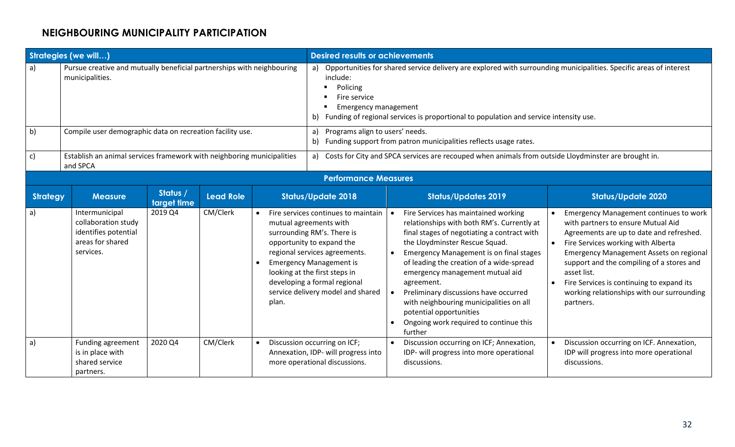# **NEIGHBOURING MUNICIPALITY PARTICIPATION**

|                 | <b>Strategies (we will)</b>                                                                    |                         |                  |       |                                                                                                                                                                                                                                                                                                   | <b>Desired results or achievements</b>                                                                                                                                                                                                                                                                                                                                                                                                                                                                           |                                                                                                                                                                                                                                                                                                                                                                                             |  |  |  |  |
|-----------------|------------------------------------------------------------------------------------------------|-------------------------|------------------|-------|---------------------------------------------------------------------------------------------------------------------------------------------------------------------------------------------------------------------------------------------------------------------------------------------------|------------------------------------------------------------------------------------------------------------------------------------------------------------------------------------------------------------------------------------------------------------------------------------------------------------------------------------------------------------------------------------------------------------------------------------------------------------------------------------------------------------------|---------------------------------------------------------------------------------------------------------------------------------------------------------------------------------------------------------------------------------------------------------------------------------------------------------------------------------------------------------------------------------------------|--|--|--|--|
| a)              | Pursue creative and mutually beneficial partnerships with neighbouring<br>municipalities.      |                         |                  |       | include:<br>Policing<br>Fire service<br><b>Emergency management</b><br>Funding of regional services is proportional to population and service intensity use.<br>b)                                                                                                                                | a) Opportunities for shared service delivery are explored with surrounding municipalities. Specific areas of interest                                                                                                                                                                                                                                                                                                                                                                                            |                                                                                                                                                                                                                                                                                                                                                                                             |  |  |  |  |
| b)              | Compile user demographic data on recreation facility use.                                      |                         |                  |       | a)<br>b)                                                                                                                                                                                                                                                                                          | Programs align to users' needs.<br>Funding support from patron municipalities reflects usage rates.                                                                                                                                                                                                                                                                                                                                                                                                              |                                                                                                                                                                                                                                                                                                                                                                                             |  |  |  |  |
| $\mathsf{c}$    | Establish an animal services framework with neighboring municipalities<br>and SPCA             |                         |                  |       |                                                                                                                                                                                                                                                                                                   | a) Costs for City and SPCA services are recouped when animals from outside Lloydminster are brought in.                                                                                                                                                                                                                                                                                                                                                                                                          |                                                                                                                                                                                                                                                                                                                                                                                             |  |  |  |  |
|                 |                                                                                                |                         |                  |       | <b>Performance Measures</b>                                                                                                                                                                                                                                                                       |                                                                                                                                                                                                                                                                                                                                                                                                                                                                                                                  |                                                                                                                                                                                                                                                                                                                                                                                             |  |  |  |  |
| <b>Strategy</b> | <b>Measure</b>                                                                                 | Status /<br>target time | <b>Lead Role</b> |       | <b>Status/Update 2018</b>                                                                                                                                                                                                                                                                         | <b>Status/Updates 2019</b>                                                                                                                                                                                                                                                                                                                                                                                                                                                                                       | <b>Status/Update 2020</b>                                                                                                                                                                                                                                                                                                                                                                   |  |  |  |  |
| a)              | Intermunicipal<br>collaboration study<br>identifies potential<br>areas for shared<br>services. | 2019 Q4                 | CM/Clerk         | plan. | Fire services continues to maintain<br>mutual agreements with<br>surrounding RM's. There is<br>opportunity to expand the<br>regional services agreements.<br><b>Emergency Management is</b><br>looking at the first steps in<br>developing a formal regional<br>service delivery model and shared | Fire Services has maintained working<br>relationships with both RM's. Currently at<br>final stages of negotiating a contract with<br>the Lloydminster Rescue Squad.<br><b>Emergency Management is on final stages</b><br>$\bullet$<br>of leading the creation of a wide-spread<br>emergency management mutual aid<br>agreement.<br>Preliminary discussions have occurred<br>$\bullet$<br>with neighbouring municipalities on all<br>potential opportunities<br>Ongoing work required to continue this<br>further | <b>Emergency Management continues to work</b><br>with partners to ensure Mutual Aid<br>Agreements are up to date and refreshed.<br>Fire Services working with Alberta<br><b>Emergency Management Assets on regional</b><br>support and the compiling of a stores and<br>asset list.<br>Fire Services is continuing to expand its<br>working relationships with our surrounding<br>partners. |  |  |  |  |
| $\mathsf{a}$    | Funding agreement<br>is in place with<br>shared service<br>partners.                           | 2020 Q4                 | CM/Clerk         |       | Discussion occurring on ICF;<br>Annexation, IDP- will progress into<br>more operational discussions.                                                                                                                                                                                              | Discussion occurring on ICF; Annexation,<br>IDP- will progress into more operational<br>discussions.                                                                                                                                                                                                                                                                                                                                                                                                             | Discussion occurring on ICF. Annexation,<br>IDP will progress into more operational<br>discussions.                                                                                                                                                                                                                                                                                         |  |  |  |  |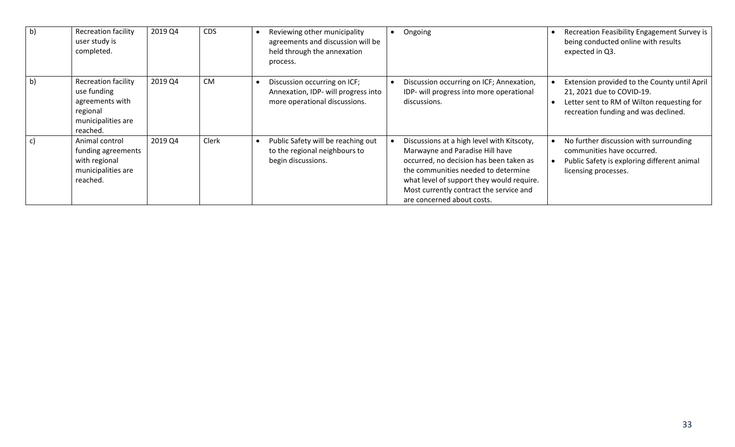| b) | <b>Recreation facility</b><br>user study is<br>completed.                                                  | 2019 Q4 | <b>CDS</b> | Reviewing other municipality<br>agreements and discussion will be<br>held through the annexation<br>process. | Ongoing                                                                                                                                                                                                                                                                               | Recreation Feasibility Engagement Survey is<br>being conducted online with results<br>expected in Q3.                                                           |
|----|------------------------------------------------------------------------------------------------------------|---------|------------|--------------------------------------------------------------------------------------------------------------|---------------------------------------------------------------------------------------------------------------------------------------------------------------------------------------------------------------------------------------------------------------------------------------|-----------------------------------------------------------------------------------------------------------------------------------------------------------------|
| b) | <b>Recreation facility</b><br>use funding<br>agreements with<br>regional<br>municipalities are<br>reached. | 2019 Q4 | <b>CM</b>  | Discussion occurring on ICF;<br>Annexation, IDP- will progress into<br>more operational discussions.         | Discussion occurring on ICF; Annexation,<br>IDP- will progress into more operational<br>discussions.                                                                                                                                                                                  | Extension provided to the County until April<br>21, 2021 due to COVID-19.<br>Letter sent to RM of Wilton requesting for<br>recreation funding and was declined. |
|    | Animal control<br>funding agreements<br>with regional<br>municipalities are<br>reached.                    | 2019 Q4 | Clerk      | Public Safety will be reaching out<br>to the regional neighbours to<br>begin discussions.                    | Discussions at a high level with Kitscoty,<br>Marwayne and Paradise Hill have<br>occurred, no decision has been taken as<br>the communities needed to determine<br>what level of support they would require.<br>Most currently contract the service and<br>are concerned about costs. | No further discussion with surrounding<br>communities have occurred.<br>Public Safety is exploring different animal<br>licensing processes.                     |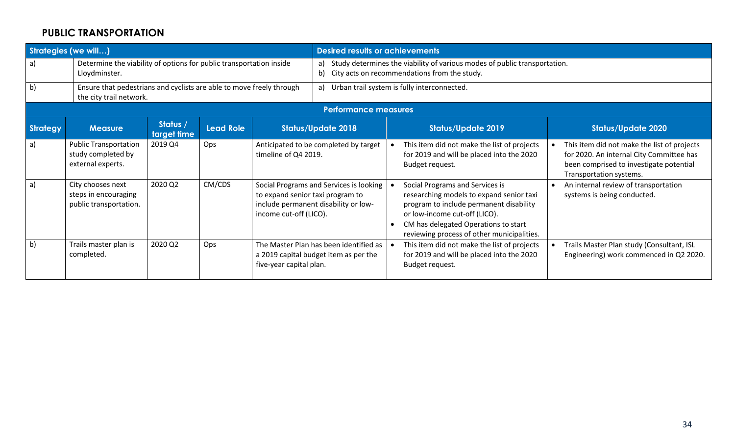### **PUBLIC TRANSPORTATION**

| <b>Strategies (we will)</b> |                                                                                                 |                         |                  | <b>Desired results or achievements</b>                     |                                                                                 |                                                                                                                           |                                                                                                                                                                                                                                               |  |                                                                                                                                                               |  |  |
|-----------------------------|-------------------------------------------------------------------------------------------------|-------------------------|------------------|------------------------------------------------------------|---------------------------------------------------------------------------------|---------------------------------------------------------------------------------------------------------------------------|-----------------------------------------------------------------------------------------------------------------------------------------------------------------------------------------------------------------------------------------------|--|---------------------------------------------------------------------------------------------------------------------------------------------------------------|--|--|
| a)                          | Determine the viability of options for public transportation inside<br>Lloydminster.            |                         |                  |                                                            | a)<br>b)                                                                        | Study determines the viability of various modes of public transportation.<br>City acts on recommendations from the study. |                                                                                                                                                                                                                                               |  |                                                                                                                                                               |  |  |
| b)                          | Ensure that pedestrians and cyclists are able to move freely through<br>the city trail network. |                         |                  |                                                            | a)                                                                              | Urban trail system is fully interconnected.                                                                               |                                                                                                                                                                                                                                               |  |                                                                                                                                                               |  |  |
|                             |                                                                                                 |                         |                  |                                                            | <b>Performance measures</b>                                                     |                                                                                                                           |                                                                                                                                                                                                                                               |  |                                                                                                                                                               |  |  |
| <b>Strategy</b>             | <b>Measure</b>                                                                                  | Status /<br>target time | <b>Lead Role</b> |                                                            | <b>Status/Update 2018</b>                                                       |                                                                                                                           | <b>Status/Update 2019</b>                                                                                                                                                                                                                     |  | <b>Status/Update 2020</b>                                                                                                                                     |  |  |
| $\mathsf{a}$                | <b>Public Transportation</b><br>study completed by<br>external experts.                         | 2019 Q4                 | Ops              |                                                            | Anticipated to be completed by target<br>timeline of Q4 2019.                   |                                                                                                                           | This item did not make the list of projects<br>for 2019 and will be placed into the 2020<br>Budget request.                                                                                                                                   |  | This item did not make the list of projects<br>for 2020. An internal City Committee has<br>been comprised to investigate potential<br>Transportation systems. |  |  |
| a)                          | City chooses next<br>steps in encouraging<br>public transportation.                             | 2020 Q2                 | CM/CDS           | to expand senior taxi program to<br>income cut-off (LICO). | Social Programs and Services is looking<br>include permanent disability or low- |                                                                                                                           | Social Programs and Services is<br>researching models to expand senior taxi<br>program to include permanent disability<br>or low-income cut-off (LICO).<br>CM has delegated Operations to start<br>reviewing process of other municipalities. |  | An internal review of transportation<br>systems is being conducted.                                                                                           |  |  |
| b)                          | Trails master plan is<br>completed.                                                             | 2020 Q2                 | Ops              | five-year capital plan.                                    | The Master Plan has been identified as<br>a 2019 capital budget item as per the |                                                                                                                           | This item did not make the list of projects<br>for 2019 and will be placed into the 2020<br>Budget request.                                                                                                                                   |  | Trails Master Plan study (Consultant, ISL<br>Engineering) work commenced in Q2 2020.                                                                          |  |  |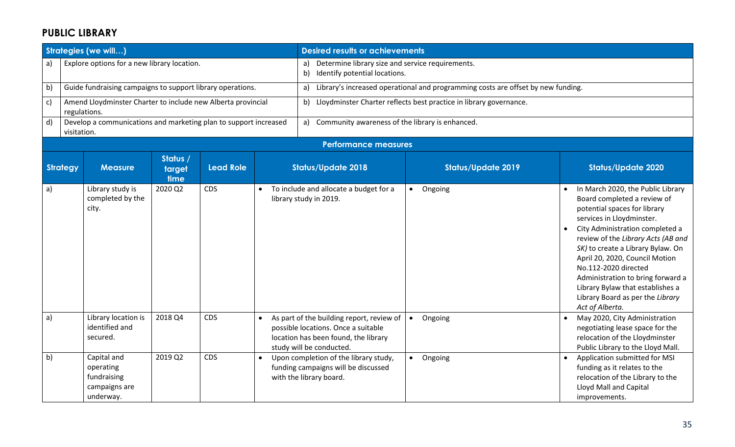#### **PUBLIC LIBRARY**

|    |                 | <b>Strategies (we will)</b>                                                  |                            |                  | <b>Desired results or achievements</b>                                                                                                               |                                                                                  |  |                                                                                                                                                                                                                                                                                                                                                                                                                                       |  |  |  |
|----|-----------------|------------------------------------------------------------------------------|----------------------------|------------------|------------------------------------------------------------------------------------------------------------------------------------------------------|----------------------------------------------------------------------------------|--|---------------------------------------------------------------------------------------------------------------------------------------------------------------------------------------------------------------------------------------------------------------------------------------------------------------------------------------------------------------------------------------------------------------------------------------|--|--|--|
| a) |                 | Explore options for a new library location.                                  |                            |                  | Determine library size and service requirements.<br>a)<br>Identify potential locations.<br>b)                                                        |                                                                                  |  |                                                                                                                                                                                                                                                                                                                                                                                                                                       |  |  |  |
| b) |                 | Guide fundraising campaigns to support library operations.                   |                            |                  | a)                                                                                                                                                   | Library's increased operational and programming costs are offset by new funding. |  |                                                                                                                                                                                                                                                                                                                                                                                                                                       |  |  |  |
| c) |                 | Amend Lloydminster Charter to include new Alberta provincial<br>regulations. |                            |                  | b)                                                                                                                                                   | Lloydminster Charter reflects best practice in library governance.               |  |                                                                                                                                                                                                                                                                                                                                                                                                                                       |  |  |  |
| d) | visitation.     | Develop a communications and marketing plan to support increased             |                            |                  | Community awareness of the library is enhanced.<br>a)                                                                                                |                                                                                  |  |                                                                                                                                                                                                                                                                                                                                                                                                                                       |  |  |  |
|    |                 |                                                                              |                            |                  | <b>Performance measures</b>                                                                                                                          |                                                                                  |  |                                                                                                                                                                                                                                                                                                                                                                                                                                       |  |  |  |
|    | <b>Strategy</b> | <b>Measure</b>                                                               | Status /<br>target<br>time | <b>Lead Role</b> | <b>Status/Update 2018</b>                                                                                                                            | <b>Status/Update 2019</b>                                                        |  | <b>Status/Update 2020</b>                                                                                                                                                                                                                                                                                                                                                                                                             |  |  |  |
| a) |                 | Library study is<br>completed by the<br>city.                                | 2020 Q2                    | <b>CDS</b>       | To include and allocate a budget for a<br>library study in 2019.                                                                                     | • Ongoing                                                                        |  | In March 2020, the Public Library<br>Board completed a review of<br>potential spaces for library<br>services in Lloydminster.<br>City Administration completed a<br>review of the Library Acts (AB and<br>SK) to create a Library Bylaw. On<br>April 20, 2020, Council Motion<br>No.112-2020 directed<br>Administration to bring forward a<br>Library Bylaw that establishes a<br>Library Board as per the Library<br>Act of Alberta. |  |  |  |
| a) |                 | Library location is<br>identified and<br>secured.                            | 2018 Q4                    | <b>CDS</b>       | As part of the building report, review of<br>possible locations. Once a suitable<br>location has been found, the library<br>study will be conducted. | Ongoing<br>$\bullet$                                                             |  | May 2020, City Administration<br>negotiating lease space for the<br>relocation of the Lloydminster<br>Public Library to the Lloyd Mall.                                                                                                                                                                                                                                                                                               |  |  |  |
| b) |                 | Capital and<br>operating<br>fundraising<br>campaigns are<br>underway.        | 2019 Q2                    | <b>CDS</b>       | Upon completion of the library study,<br>funding campaigns will be discussed<br>with the library board.                                              | Ongoing<br>$\bullet$                                                             |  | Application submitted for MSI<br>funding as it relates to the<br>relocation of the Library to the<br>Lloyd Mall and Capital<br>improvements.                                                                                                                                                                                                                                                                                          |  |  |  |